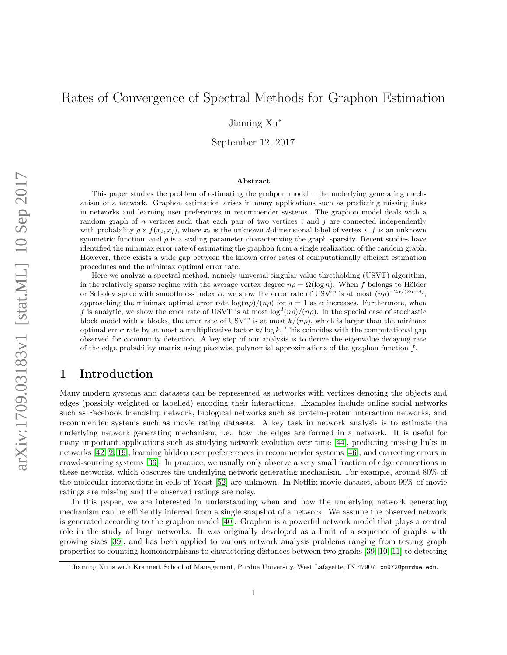# Rates of Convergence of Spectral Methods for Graphon Estimation

Jiaming Xu<sup>∗</sup>

September 12, 2017

#### Abstract

This paper studies the problem of estimating the grahpon model – the underlying generating mechanism of a network. Graphon estimation arises in many applications such as predicting missing links in networks and learning user preferences in recommender systems. The graphon model deals with a random graph of  $n$  vertices such that each pair of two vertices  $i$  and  $j$  are connected independently with probability  $\rho \times f(x_i, x_j)$ , where  $x_i$  is the unknown d-dimensional label of vertex i, f is an unknown symmetric function, and  $\rho$  is a scaling parameter characterizing the graph sparsity. Recent studies have identified the minimax error rate of estimating the graphon from a single realization of the random graph. However, there exists a wide gap between the known error rates of computationally efficient estimation procedures and the minimax optimal error rate.

Here we analyze a spectral method, namely universal singular value thresholding (USVT) algorithm, in the relatively sparse regime with the average vertex degree  $n\rho = \Omega(\log n)$ . When f belongs to Hölder or Sobolev space with smoothness index  $\alpha$ , we show the error rate of USVT is at most  $(n\rho)^{-2\alpha/(2\alpha+d)}$ , approaching the minimax optimal error rate  $\log(n\rho)/(n\rho)$  for  $d=1$  as  $\alpha$  increases. Furthermore, when f is analytic, we show the error rate of USVT is at most  $\log^d(n\rho)/(n\rho)$ . In the special case of stochastic block model with k blocks, the error rate of USVT is at most  $k/(n\rho)$ , which is larger than the minimax optimal error rate by at most a multiplicative factor  $k/\log k$ . This coincides with the computational gap observed for community detection. A key step of our analysis is to derive the eigenvalue decaying rate of the edge probability matrix using piecewise polynomial approximations of the graphon function  $f$ .

## 1 Introduction

Many modern systems and datasets can be represented as networks with vertices denoting the objects and edges (possibly weighted or labelled) encoding their interactions. Examples include online social networks such as Facebook friendship network, biological networks such as protein-protein interaction networks, and recommender systems such as movie rating datasets. A key task in network analysis is to estimate the underlying network generating mechanism, i.e., how the edges are formed in a network. It is useful for many important applications such as studying network evolution over time [\[44\]](#page-22-0), predicting missing links in networks [\[42,](#page-22-1) [2,](#page-20-0) [19\]](#page-21-0), learning hidden user prefererences in recommender systems [\[46\]](#page-22-2), and correcting errors in crowd-sourcing systems [\[36\]](#page-22-3). In practice, we usually only observe a very small fraction of edge connections in these networks, which obscures the underlying network generating mechanism. For example, around 80% of the molecular interactions in cells of Yeast [\[52\]](#page-23-0) are unknown. In Netflix movie dataset, about 99% of movie ratings are missing and the observed ratings are noisy.

In this paper, we are interested in understanding when and how the underlying network generating mechanism can be efficiently inferred from a single snapshot of a network. We assume the observed network is generated according to the graphon model [\[40\]](#page-22-4). Graphon is a powerful network model that plays a central role in the study of large networks. It was originally developed as a limit of a sequence of graphs with growing sizes [\[39\]](#page-22-5), and has been applied to various network analysis problems ranging from testing graph properties to counting homomorphisms to charactering distances between two graphs [\[39,](#page-22-5) [10,](#page-21-1) [11\]](#page-21-2) to detecting

<sup>∗</sup>Jiaming Xu is with Krannert School of Management, Purdue University, West Lafayette, IN 47907. xu972@purdue.edu.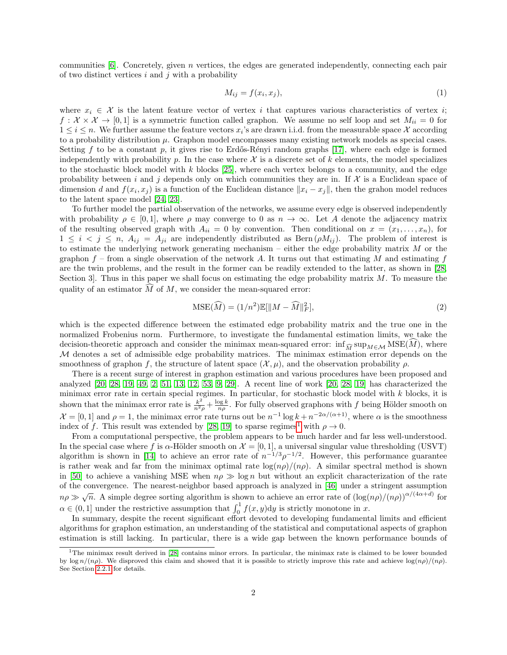communities  $[6]$ . Concretely, given n vertices, the edges are generated independently, connecting each pair of two distinct vertices  $i$  and  $j$  with a probability

<span id="page-1-1"></span>
$$
M_{ij} = f(x_i, x_j),\tag{1}
$$

where  $x_i \in \mathcal{X}$  is the latent feature vector of vertex i that captures various characteristics of vertex i;  $f: \mathcal{X} \times \mathcal{X} \to [0,1]$  is a symmetric function called graphon. We assume no self loop and set  $M_{ii} = 0$  for  $1 \leq i \leq n$ . We further assume the feature vectors  $x_i$ 's are drawn i.i.d. from the measurable space X according to a probability distribution  $\mu$ . Graphon model encompasses many existing network models as special cases. Setting f to be a constant p, it gives rise to Erdős-Rényi random graphs  $[17]$ , where each edge is formed independently with probability p. In the case where  $\mathcal X$  is a discrete set of k elements, the model specializes to the stochastic block model with k blocks  $[25]$ , where each vertex belongs to a community, and the edge probability between i and j depends only on which communities they are in. If  $\mathcal X$  is a Euclidean space of dimension d and  $f(x_i, x_j)$  is a function of the Euclidean distance  $||x_i - x_j||$ , then the grahon model reduces to the latent space model [\[24,](#page-21-5) [23\]](#page-21-6).

To further model the partial observation of the networks, we assume every edge is observed independently with probability  $\rho \in [0,1]$ , where  $\rho$  may converge to 0 as  $n \to \infty$ . Let A denote the adjacency matrix of the resulting observed graph with  $A_{ii} = 0$  by convention. Then conditional on  $x = (x_1, \ldots, x_n)$ , for  $1 \leq i \leq j \leq n$ ,  $A_{ij} = A_{ji}$  are independently distributed as Bern  $(\rho M_{ij})$ . The problem of interest is to estimate the underlying network generating mechanism – either the edge probability matrix  $M$  or the graphon  $f$  – from a single observation of the network A. It turns out that estimating M and estimating  $f$ are the twin problems, and the result in the former can be readily extended to the latter, as shown in [\[28,](#page-22-6) Section 3. Thus in this paper we shall focus on estimating the edge probability matrix  $M$ . To measure the quality of an estimator  $\widehat{M}$  of M, we consider the mean-squared error:

$$
\text{MSE}(\widehat{M}) = (1/n^2)\mathbb{E}[\|M - \widehat{M}\|_F^2],\tag{2}
$$

which is the expected difference between the estimated edge probability matrix and the true one in the normalized Frobenius norm. Furthermore, to investigate the fundamental estimation limits, we take the decision-theoretic approach and consider the minimax mean-squared error:  $\inf_{\widehat{M}} \sup_{M \in \mathcal{M}} \text{MSE}(M)$ , where M denotes a set of admissible edge probability matrices. The minimax estimation error depends on the smoothness of graphon f, the structure of latent space  $(\mathcal{X}, \mu)$ , and the observation probability  $\rho$ .

There is a recent surge of interest in graphon estimation and various procedures have been proposed and analyzed [\[20,](#page-21-7) [28,](#page-22-6) [19,](#page-21-0) [49,](#page-23-1) [2,](#page-20-0) [51,](#page-23-2) [13,](#page-21-8) [12,](#page-21-9) [53,](#page-23-3) [9,](#page-21-10) [29\]](#page-22-7). A recent line of work [\[20,](#page-21-7) [28,](#page-22-6) [19\]](#page-21-0) has characterized the minimax error rate in certain special regimes. In particular, for stochastic block model with k blocks, it is shown that the minimax error rate is  $\frac{k^2}{n^2\rho} + \frac{\log k}{n\rho}$ . For fully observed graphons with f being Hölder smooth on  $\mathcal{X} = [0,1]$  and  $\rho = 1$ , the minimax error rate turns out be  $n^{-1} \log k + n^{-2\alpha/(\alpha+1)}$ , where  $\alpha$  is the smoothness index of f. This result was extended by [\[28,](#page-22-6) [19\]](#page-21-0) to sparse regimes<sup>[1](#page-1-0)</sup> with  $\rho \to 0$ .

From a computational perspective, the problem appears to be much harder and far less well-understood. In the special case where f is  $\alpha$ -Hölder smooth on  $\mathcal{X} = [0, 1]$ , a universal singular value thresholding (USVT) algorithm is shown in [\[14\]](#page-21-11) to achieve an error rate of  $n^{-1/3}\rho^{-1/2}$ . However, this performance guarantee is rather weak and far from the minimax optimal rate  $\log(np)/(n\rho)$ . A similar spectral method is shown in [\[50\]](#page-23-4) to achieve a vanishing MSE when  $n\rho \gg \log n$  but without an explicit characterization of the rate of the convergence. The nearest-neighbor based approach is analyzed in [\[46\]](#page-22-2) under a stringent assumption  $n\rho \gg \sqrt{n}$ . A simple degree sorting algorithm is shown to achieve an error rate of  $(\log(n\rho)/(n\rho))^{\alpha/(4\alpha+d)}$  for  $\alpha \in (0,1]$  under the restrictive assumption that  $\int_0^1 f(x, y) dy$  is strictly monotone in x.

In summary, despite the recent significant effort devoted to developing fundamental limits and efficient algorithms for graphon estimation, an understanding of the statistical and computational aspects of graphon estimation is still lacking. In particular, there is a wide gap between the known performance bounds of

<span id="page-1-0"></span><sup>&</sup>lt;sup>1</sup>The minimax result derived in [\[28\]](#page-22-6) contains minor errors. In particular, the minimax rate is claimed to be lower bounded by log  $n/(n\rho)$ . We disproved this claim and showed that it is possible to strictly improve this rate and achieve  $\log(n\rho)/(n\rho)$ . See Section [2.2.1](#page-7-0) for details.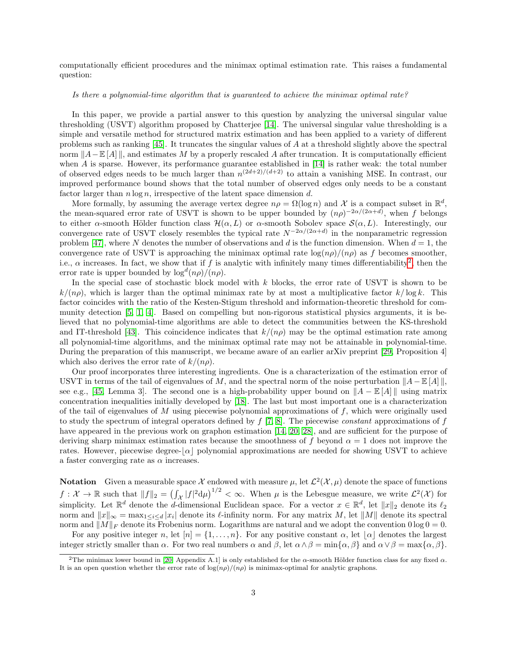computationally efficient procedures and the minimax optimal estimation rate. This raises a fundamental question:

#### Is there a polynomial-time algorithm that is guaranteed to achieve the minimax optimal rate?

In this paper, we provide a partial answer to this question by analyzing the universal singular value thresholding (USVT) algorithm proposed by Chatterjee [\[14\]](#page-21-11). The universal singular value thresholding is a simple and versatile method for structured matrix estimation and has been applied to a variety of different problems such as ranking [\[45\]](#page-22-8). It truncates the singular values of A at a threshold slightly above the spectral norm  $||A-E[A]||$ , and estimates M by a properly rescaled A after truncation. It is computationally efficient when A is sparse. However, its performance guarantee established in [\[14\]](#page-21-11) is rather weak: the total number of observed edges needs to be much larger than  $n^{(2d+2)/(d+2)}$  to attain a vanishing MSE. In contrast, our improved performance bound shows that the total number of observed edges only needs to be a constant factor larger than  $n \log n$ , irrespective of the latent space dimension d.

More formally, by assuming the average vertex degree  $n\rho = \Omega(\log n)$  and X is a compact subset in  $\mathbb{R}^d$ , the mean-squared error rate of USVT is shown to be upper bounded by  $(n\rho)^{-2\alpha/(2\alpha+d)}$ , when f belongs to either  $\alpha$ -smooth Hölder function class  $\mathcal{H}(\alpha, L)$  or  $\alpha$ -smooth Sobolev space  $\mathcal{S}(\alpha, L)$ . Interestingly, our convergence rate of USVT closely resembles the typical rate  $N^{-2\alpha/(2\alpha+d)}$  in the nonparametric regression problem [\[47\]](#page-22-9), where N denotes the number of observations and d is the function dimension. When  $d = 1$ , the convergence rate of USVT is approaching the minimax optimal rate  $\log(n\rho)/\langle n\rho \rangle$  as f becomes smoother, i.e.,  $\alpha$  increases. In fact, we show that if f is analytic with infinitely many times differentiability<sup>[2](#page-2-0)</sup>, then the error rate is upper bounded by  $\log^d(n\rho)/(n\rho)$ .

In the special case of stochastic block model with  $k$  blocks, the error rate of USVT is shown to be  $k/(n\rho)$ , which is larger than the optimal minimax rate by at most a multiplicative factor  $k/\log k$ . This factor coincides with the ratio of the Kesten-Stigum threshold and information-theoretic threshold for community detection [\[5,](#page-20-2) [1,](#page-20-3) [4\]](#page-20-4). Based on compelling but non-rigorous statistical physics arguments, it is believed that no polynomial-time algorithms are able to detect the communities between the KS-threshold and IT-threshold [\[43\]](#page-22-10). This coincidence indicates that  $k/(n\rho)$  may be the optimal estimation rate among all polynomial-time algorithms, and the minimax optimal rate may not be attainable in polynomial-time. During the preparation of this manuscript, we became aware of an earlier arXiv preprint [\[29,](#page-22-7) Proposition 4] which also derives the error rate of  $k/(n\rho)$ .

Our proof incorporates three interesting ingredients. One is a characterization of the estimation error of USVT in terms of the tail of eigenvalues of M, and the spectral norm of the noise perturbation  $||A – \mathbb{E}[A]||$ , see e.g., [\[45,](#page-22-8) Lemma 3]. The second one is a high-probability upper bound on  $||A - \mathbb{E}[A]||$  using matrix concentration inequalities initially developed by [\[18\]](#page-21-12). The last but most important one is a characterization of the tail of eigenvalues of  $M$  using piecewise polynomial approximations of  $f$ , which were originally used to study the spectrum of integral operators defined by  $f(7, 8)$ . The piecewise constant approximations of f have appeared in the previous work on graphon estimation [\[14,](#page-21-11) [20,](#page-21-7) [28\]](#page-22-6), and are sufficient for the purpose of deriving sharp minimax estimation rates because the smoothness of f beyond  $\alpha = 1$  does not improve the rates. However, piecewise degree- $\alpha$  polynomial approximations are needed for showing USVT to achieve a faster converging rate as  $\alpha$  increases.

**Notation** Given a measurable space X endowed with measure  $\mu$ , let  $\mathcal{L}^2(\mathcal{X}, \mu)$  denote the space of functions  $f: \mathcal{X} \to \mathbb{R}$  such that  $||f||_2 = (\int_{\mathcal{X}} |f|^2 d\mu)^{1/2} < \infty$ . When  $\mu$  is the Lebesgue measure, we write  $\mathcal{L}^2(\mathcal{X})$  for simplicity. Let  $\mathbb{R}^d$  denote the d-dimensional Euclidean space. For a vector  $x \in \mathbb{R}^d$ , let  $||x||_2$  denote its  $\ell_2$ norm and  $||x||_{\infty} = \max_{1 \leq i \leq d} |x_i|$  denote its  $\ell$ -infinity norm. For any matrix M, let  $||M||$  denote its spectral norm and  $||M||_F$  denote its Frobenius norm. Logarithms are natural and we adopt the convention  $0 \log 0 = 0$ .

For any positive integer n, let  $[n] = \{1, \ldots, n\}$ . For any positive constant  $\alpha$ , let  $|\alpha|$  denotes the largest integer strictly smaller than  $\alpha$ . For two real numbers  $\alpha$  and  $\beta$ , let  $\alpha \wedge \beta = \min{\{\alpha, \beta\}}$  and  $\alpha \vee \beta = \max{\{\alpha, \beta\}}$ .

<span id="page-2-0"></span><sup>&</sup>lt;sup>2</sup>The minimax lower bound in [\[20,](#page-21-7) Appendix A.1] is only established for the  $\alpha$ -smooth Hölder function class for any fixed  $\alpha$ . It is an open question whether the error rate of  $\log(n\rho)/(n\rho)$  is minimax-optimal for analytic graphons.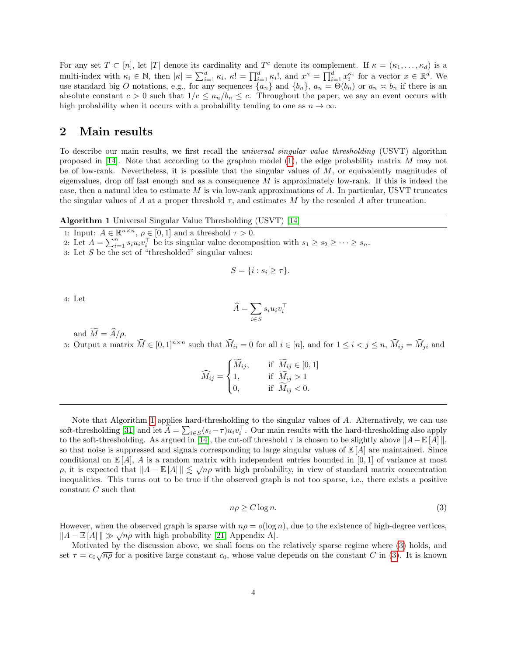For any set  $T \subset [n]$ , let |T| denote its cardinality and  $T^c$  denote its complement. If  $\kappa = (\kappa_1, \ldots, \kappa_d)$  is a multi-index with  $\kappa_i \in \mathbb{N}$ , then  $|\kappa| = \sum_{i=1}^d \kappa_i$ ,  $\kappa! = \prod_{i=1}^d \kappa_i!$ , and  $x^{\kappa} = \prod_{i=1}^d x_i^{\kappa_i}$  for a vector  $x \in \mathbb{R}^d$ . We use standard big O notations, e.g., for any sequences  $\{a_n\}$  and  $\{b_n\}$ ,  $a_n = \Theta(b_n)$  or  $a_n \approx b_n$  if there is an absolute constant  $c > 0$  such that  $1/c \le a_n/b_n \le c$ . Throughout the paper, we say an event occurs with high probability when it occurs with a probability tending to one as  $n \to \infty$ .

### 2 Main results

To describe our main results, we first recall the universal singular value thresholding (USVT) algorithm proposed in [\[14\]](#page-21-11). Note that according to the graphon model  $(1)$ , the edge probability matrix M may not be of low-rank. Nevertheless, it is possible that the singular values of  $M$ , or equivalently magnitudes of eigenvalues, drop off fast enough and as a consequence  $M$  is approximately low-rank. If this is indeed the case, then a natural idea to estimate M is via low-rank approximations of A. In particular, USVT truncates the singular values of A at a proper threshold  $\tau$ , and estimates M by the rescaled A after truncation.

Algorithm 1 Universal Singular Value Thresholding (USVT) [\[14\]](#page-21-11)

<span id="page-3-0"></span>1: Input:  $A \in \mathbb{R}^{n \times n}$ ,  $\rho \in [0, 1]$  and a threshold  $\tau > 0$ .

2: Let  $A = \sum_{i=1}^n s_i u_i v_i^{\top}$  be its singular value decomposition with  $s_1 \geq s_2 \geq \cdots \geq s_n$ .

$$
S = \{i : s_i \geq \tau\}.
$$

4: Let

$$
\widehat{A} = \sum_{i \in S} s_i u_i v_i^{\top}
$$

and  $\widetilde{M} = \widehat{A}/\rho$ .

5: Output a matrix  $\widehat{M} \in [0,1]^{n \times n}$  such that  $\widehat{M}_{ii} = 0$  for all  $i \in [n]$ , and for  $1 \leq i < j \leq n$ ,  $\widehat{M}_{ij} = \widehat{M}_{ji}$  and

$$
\widehat{M}_{ij} = \begin{cases}\n\widetilde{M}_{ij}, & \text{if } \widetilde{M}_{ij} \in [0, 1] \\
1, & \text{if } \widetilde{M}_{ij} > 1 \\
0, & \text{if } \widetilde{M}_{ij} < 0.\n\end{cases}
$$

Note that Algorithm [1](#page-3-0) applies hard-thresholding to the singular values of A. Alternatively, we can use soft-thresholding [\[31\]](#page-22-11) and let  $\hat{A} = \sum_{i \in S} (s_i - \tau) u_i v_i^{\top}$ . Our main results with the hard-thresholding also apply to the soft-thresholding. As argued in [\[14\]](#page-21-11), the cut-off threshold  $\tau$  is chosen to be slightly above  $||A-E[A]||$ , so that noise is suppressed and signals corresponding to large singular values of  $\mathbb{E}[A]$  are maintained. Since conditional on  $\mathbb{E}[A], A$  is a random matrix with independent entries bounded in [0, 1] of variance at most p, it is expected that  $||A - \mathbb{E}[A]|| \leq \sqrt{n\rho}$  with high probability, in view of standard matrix concentration inequalities. This turns out to be true if the observed graph is not too sparse, i.e., there exists a positive constant C such that

<span id="page-3-1"></span>
$$
n\rho \ge C \log n. \tag{3}
$$

However, when the observed graph is sparse with  $n\rho = o(\log n)$ , due to the existence of high-degree vertices,  $||A - \mathbb{E}[A]|| \gg \sqrt{n\rho}$  with high probability [\[21,](#page-21-13) Appendix A].

Motivated by the discussion above, we shall focus on the relatively sparse regime where [\(3\)](#page-3-1) holds, and set  $\tau = c_0 \sqrt{n \rho}$  for a positive large constant  $c_0$ , whose value depends on the constant C in [\(3\)](#page-3-1). It is known

<sup>3:</sup> Let  $S$  be the set of "thresholded" singular values: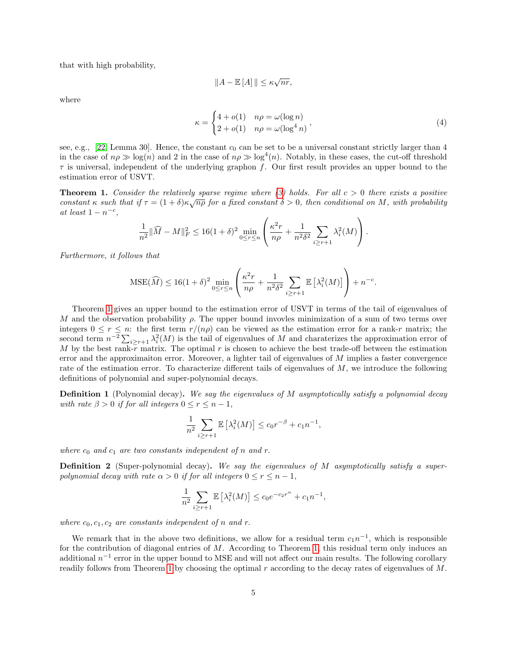that with high probability,

$$
||A - \mathbb{E}[A]|| \le \kappa \sqrt{nr},
$$

where

$$
\kappa = \begin{cases} 4 + o(1) & n\rho = \omega(\log n) \\ 2 + o(1) & n\rho = \omega(\log^4 n) \end{cases} \tag{4}
$$

see, e.g.,  $[22, \text{Lemma } 30]$  $[22, \text{Lemma } 30]$ . Hence, the constant  $c_0$  can be set to be a universal constant strictly larger than 4 in the case of  $n \rho \gg \log(n)$  and 2 in the case of  $n \rho \gg \log^4(n)$ . Notably, in these cases, the cut-off threshold  $\tau$  is universal, independent of the underlying graphon f. Our first result provides an upper bound to the estimation error of USVT.

<span id="page-4-0"></span>**Theorem 1.** Consider the relatively sparse regime where [\(3\)](#page-3-1) holds. For all  $c > 0$  there exists a positive **Theorem 1.** Constant the relatively sparse regime anere (3) holds. For all  $c > 0$  there exists a positive constant  $\kappa$  such that if  $\tau = (1 + \delta)\kappa\sqrt{n\rho}$  for a fixed constant  $\delta > 0$ , then conditional on M, with probabil at least  $1 - n^{-c}$ ,

$$
\frac{1}{n^2} \|\widehat{M} - M\|_F^2 \le 16(1+\delta)^2 \min_{0 \le r \le n} \left( \frac{\kappa^2 r}{n\rho} + \frac{1}{n^2 \delta^2} \sum_{i \ge r+1} \lambda_i^2(M) \right).
$$

Furthermore, it follows that

$$
\text{MSE}(\widehat{M}) \le 16(1+\delta)^2 \min_{0 \le r \le n} \left( \frac{\kappa^2 r}{n\rho} + \frac{1}{n^2 \delta^2} \sum_{i \ge r+1} \mathbb{E}\left[\lambda_i^2(M)\right] \right) + n^{-c}.
$$

Theorem [1](#page-4-0) gives an upper bound to the estimation error of USVT in terms of the tail of eigenvalues of M and the observation probability  $\rho$ . The upper bound invovles minimization of a sum of two terms over integers  $0 \le r \le n$ : the first term  $r/(n\rho)$  can be viewed as the estimation error for a rank-r matrix; the second term  $n^{-2} \sum_{i \ge r+1} \lambda_i^2(M)$  is the tail of eigenvalues of M and charaterizes the approximation error of M by the best rank- $\overline{r}$  matrix. The optimal r is chosen to achieve the best trade-off between the estimation error and the approximaiton error. Moreover, a lighter tail of eigenvalues of M implies a faster convergence rate of the estimation error. To characterize different tails of eigenvalues of M, we introduce the following definitions of polynomial and super-polynomial decays.

**Definition 1** (Polynomial decay). We say the eigenvalues of M asymptotically satisfy a polynomial decay with rate  $\beta > 0$  if for all integers  $0 \le r \le n - 1$ ,

$$
\frac{1}{n^2} \sum_{i \ge r+1} \mathbb{E} \left[ \lambda_i^2(M) \right] \le c_0 r^{-\beta} + c_1 n^{-1},
$$

where  $c_0$  and  $c_1$  are two constants independent of n and r.

**Definition 2** (Super-polynomial decay). We say the eigenvalues of M asymptotically satisfy a superpolynomial decay with rate  $\alpha > 0$  if for all integers  $0 \le r \le n - 1$ ,

$$
\frac{1}{n^2} \sum_{i \ge r+1} \mathbb{E} \left[ \lambda_i^2(M) \right] \le c_0 e^{-c_2 r^{\alpha}} + c_1 n^{-1},
$$

where  $c_0, c_1, c_2$  are constants independent of n and r.

We remark that in the above two definitions, we allow for a residual term  $c_1n^{-1}$ , which is responsible for the contribution of diagonal entries of  $M$ . According to Theorem [1,](#page-4-0) this residual term only induces an additional  $n^{-1}$  error in the upper bound to MSE and will not affect our main results. The following corollary readily follows from Theorem [1](#page-4-0) by choosing the optimal r according to the decay rates of eigenvalues of M.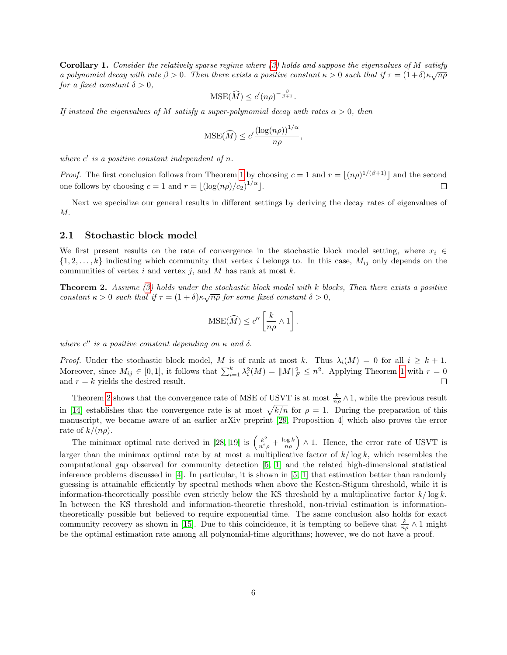<span id="page-5-1"></span>Corollary 1. Consider the relatively sparse regime where [\(3\)](#page-3-1) holds and suppose the eigenvalues of M satisfy **COLOHALY 1.** CONSIDER the relatively sparse regime unere (3) holds and suppose the eigenvalues of M satisfy a polynomial decay with rate  $β > 0$ . Then there exists a positive constant  $κ > 0$  such that if  $τ = (1+δ)κ√nρ$ for a fixed constant  $\delta > 0$ ,

$$
\mathrm{MSE}(\widehat{M}) \le c'(n\rho)^{-\frac{\beta}{\beta+1}}.
$$

If instead the eigenvalues of M satisfy a super-polynomial decay with rates  $\alpha > 0$ , then

$$
\text{MSE}(\widehat{M}) \le c' \frac{(\log(n\rho))^{1/\alpha}}{n\rho},
$$

where  $c'$  is a positive constant independent of n.

*Proof.* The first conclusion follows from Theorem [1](#page-4-0) by choosing  $c = 1$  and  $r = \lfloor (n\rho)^{1/(\beta+1)} \rfloor$  and the second one follows by choosing  $c = 1$  and  $r = \lfloor (\log(n\rho)/c_2)^{1/\alpha} \rfloor$ .  $\Box$ 

Next we specialize our general results in different settings by deriving the decay rates of eigenvalues of M.

#### 2.1 Stochastic block model

We first present results on the rate of convergence in the stochastic block model setting, where  $x_i \in$  $\{1, 2, \ldots, k\}$  indicating which community that vertex i belongs to. In this case,  $M_{ij}$  only depends on the communities of vertex i and vertex j, and M has rank at most  $k$ .

<span id="page-5-0"></span>**Theorem 2.** Assume  $(3)$  holds under the stochastic block model with k blocks, Then there exists a positive constant  $\kappa > 0$  such that if  $\tau = (1 + \delta)\kappa\sqrt{n\rho}$  for some fixed constant  $\delta > 0$ ,

$$
\text{MSE}(\widehat{M}) \le c'' \left[ \frac{k}{n\rho} \wedge 1 \right].
$$

where  $c''$  is a positive constant depending on  $\kappa$  and  $\delta$ .

*Proof.* Under the stochastic block model, M is of rank at most k. Thus  $\lambda_i(M) = 0$  for all  $i \geq k + 1$ . Moreover, since  $M_{ij} \in [0,1]$ , it follows that  $\sum_{i=1}^{k} \lambda_i^2(M) = ||M||_F^2 \leq n^2$ . Applying Theorem [1](#page-4-0) with  $r = 0$ and  $r = k$  yields the desired result.  $\Box$ 

Theorem [2](#page-5-0) shows that the convergence rate of MSE of USVT is at most  $\frac{k}{n\rho} \wedge 1$ , while the previous result in [\[14\]](#page-21-11) establishes that the convergence rate is at most  $\sqrt{k/n}$  for  $\rho = 1$ . During the preparation of this manuscript, we became aware of an earlier arXiv preprint [\[29,](#page-22-7) Proposition 4] which also proves the error rate of  $k/(n\rho)$ .

The minimax optimal rate derived in [\[28,](#page-22-6) [19\]](#page-21-0) is  $\left(\frac{k^2}{n^2\rho} + \frac{\log k}{n\rho}\right) \wedge 1$ . Hence, the error rate of USVT is larger than the minimax optimal rate by at most a multiplicative factor of  $k/\log k$ , which resembles the computational gap observed for community detection [\[5,](#page-20-2) [1\]](#page-20-3) and the related high-dimensional statistical inference problems discussed in [\[4\]](#page-20-4). In particular, it is shown in [\[5,](#page-20-2) [1\]](#page-20-3) that estimation better than randomly guessing is attainable efficiently by spectral methods when above the Kesten-Stigum threshold, while it is information-theoretically possible even strictly below the KS threshold by a multiplicative factor  $k/\log k$ . In between the KS threshold and information-theoretic threshold, non-trivial estimation is informationtheoretically possible but believed to require exponential time. The same conclusion also holds for exact community recovery as shown in [\[15\]](#page-21-15). Due to this coincidence, it is tempting to believe that  $\frac{k}{n\rho} \wedge 1$  might be the optimal estimation rate among all polynomial-time algorithms; however, we do not have a proof.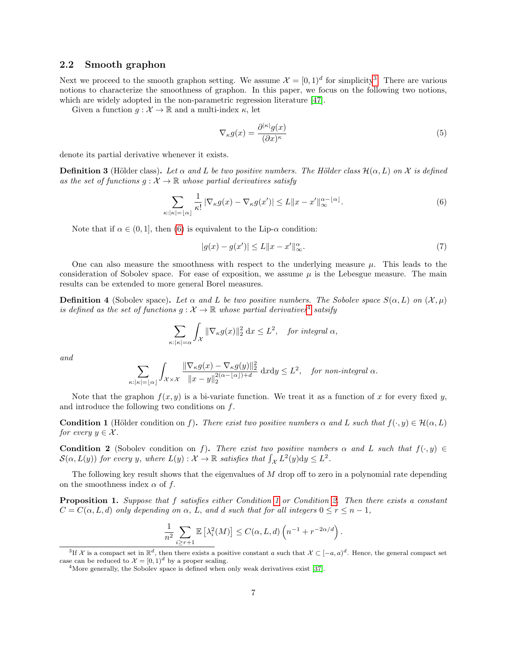#### 2.2 Smooth graphon

Next we proceed to the smooth graphon setting. We assume  $\mathcal{X} = [0,1)^d$  for simplicity<sup>[3](#page-6-0)</sup>. There are various notions to characterize the smoothness of graphon. In this paper, we focus on the following two notions, which are widely adopted in the non-parametric regression literature [\[47\]](#page-22-9).

Given a function  $g: \mathcal{X} \to \mathbb{R}$  and a multi-index  $\kappa$ , let

<span id="page-6-7"></span><span id="page-6-1"></span>
$$
\nabla_{\kappa} g(x) = \frac{\partial^{|\kappa|} g(x)}{(\partial x)^{\kappa}} \tag{5}
$$

denote its partial derivative whenever it exists.

**Definition 3** (Hölder class). Let  $\alpha$  and L be two positive numbers. The Hölder class  $\mathcal{H}(\alpha, L)$  on X is defined as the set of functions  $q: \mathcal{X} \to \mathbb{R}$  whose partial derivatives satisfy

$$
\sum_{\kappa: |\kappa| = \lfloor \alpha \rfloor} \frac{1}{\kappa!} \left| \nabla_{\kappa} g(x) - \nabla_{\kappa} g(x') \right| \le L \|x - x'\|_{\infty}^{\alpha - \lfloor \alpha \rfloor}.
$$
 (6)

Note that if  $\alpha \in (0,1]$ , then [\(6\)](#page-6-1) is equivalent to the Lip- $\alpha$  condition:

<span id="page-6-6"></span>
$$
|g(x) - g(x')| \le L \|x - x'\|_{\infty}^{\alpha}.
$$
 (7)

One can also measure the smoothness with respect to the underlying measure  $\mu$ . This leads to the consideration of Sobolev space. For ease of exposition, we assume  $\mu$  is the Lebesgue measure. The main results can be extended to more general Borel measures.

**Definition 4** (Sobolev space). Let  $\alpha$  and L be two positive numbers. The Sobolev space  $S(\alpha, L)$  on  $(\mathcal{X}, \mu)$ is defined as the set of functions  $g: \mathcal{X} \to \mathbb{R}$  whose partial derivatives<sup>[4](#page-6-2)</sup> satsify

$$
\sum_{\kappa: |\kappa|=\alpha} \int_{\mathcal{X}} \|\nabla_{\kappa} g(x)\|_2^2 dx \le L^2, \quad \text{for integral } \alpha,
$$

and

$$
\sum_{\kappa: |\kappa| = \lfloor \alpha \rfloor} \int_{\mathcal{X} \times \mathcal{X}} \frac{\|\nabla_{\kappa} g(x) - \nabla_{\kappa} g(y)\|_2^2}{\|x - y\|_2^{2(\alpha - \lfloor \alpha \rfloor) + d}} \, \mathrm{d}x \mathrm{d}y \le L^2, \quad \text{for non-integral } \alpha.
$$

Note that the graphon  $f(x, y)$  is a bi-variate function. We treat it as a function of x for every fixed y, and introduce the following two conditions on f.

<span id="page-6-3"></span>**Condition 1** (Hölder condition on f). There exist two positive numbers  $\alpha$  and L such that  $f(\cdot, y) \in \mathcal{H}(\alpha, L)$ for every  $y \in \mathcal{X}$ .

<span id="page-6-4"></span>**Condition 2** (Sobolev condition on f). There exist two positive numbers  $\alpha$  and L such that  $f(\cdot, y) \in$  $\mathcal{S}(\alpha, L(y))$  for every y, where  $L(y) : \mathcal{X} \to \mathbb{R}$  satisfies that  $\int_{\mathcal{X}} L^2(y) dy \leq L^2$ .

The following key result shows that the eigenvalues of  $M$  drop off to zero in a polynomial rate depending on the smoothness index  $\alpha$  of f.

<span id="page-6-5"></span>Proposition 1. Suppose that f satisfies either Condition [1](#page-6-3) or Condition [2.](#page-6-4) Then there exists a constant  $C = C(\alpha, L, d)$  only depending on  $\alpha$ , L, and d such that for all integers  $0 \le r \le n - 1$ ,

$$
\frac{1}{n^2} \sum_{i \ge r+1} \mathbb{E} \left[ \lambda_i^2(M) \right] \le C(\alpha, L, d) \left( n^{-1} + r^{-2\alpha/d} \right).
$$

<span id="page-6-0"></span><sup>&</sup>lt;sup>3</sup>If X is a compact set in  $\mathbb{R}^d$ , then there exists a positive constant a such that  $\mathcal{X} \subset [-a, a)^d$ . Hence, the general compact set case can be reduced to  $\mathcal{X} = [0, 1]^d$  by a proper scaling.

<span id="page-6-2"></span><sup>&</sup>lt;sup>4</sup>More generally, the Sobolev space is defined when only weak derivatives exist [\[37\]](#page-22-12).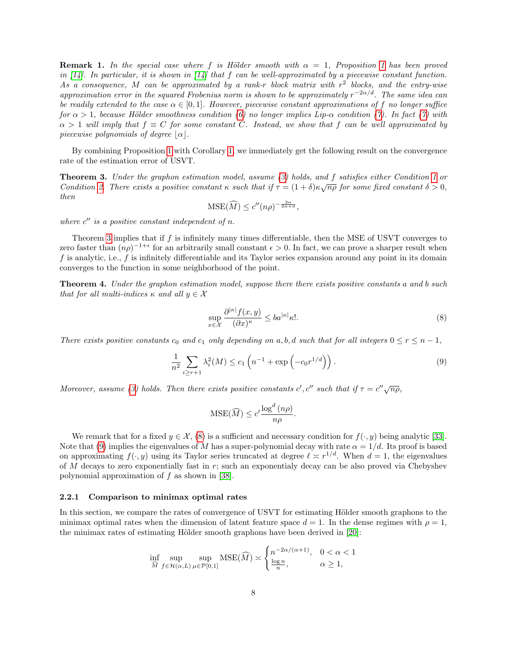**Remark [1](#page-6-5).** In the special case where f is Hölder smooth with  $\alpha = 1$ . Proposition 1 has been proved in  $\lfloor 14 \rfloor$ . In particular, it is shown in  $\lfloor 14 \rfloor$  that f can be well-approximated by a piecewise constant function. As a consequence, M can be approximated by a rank-r block matrix with  $r^2$  blocks, and the entry-wise approximation error in the squared Frobenius norm is shown to be approximately  $r^{-2\alpha/d}$ . The same idea can be readily extended to the case  $\alpha \in [0,1]$ . However, piecewise constant approximations of f no longer suffice for  $\alpha > 1$ , because Hölder smoothness condition [\(6\)](#page-6-1) no longer implies Lip- $\alpha$  condition [\(7\)](#page-6-6). In fact (7) with  $\alpha > 1$  will imply that  $f \equiv C$  for some constant C. Instead, we show that f can be well approximated by piecewise polynomials of degree  $|\alpha|$ .

By combining Proposition [1](#page-6-5) with Corollary [1,](#page-5-1) we immediately get the following result on the convergence rate of the estimation error of USVT.

<span id="page-7-1"></span>Theorem 3. Under the graphon estimation model, assume [\(3\)](#page-3-1) holds, and f satisfies either Condition [1](#page-6-3) or **Theorem 3.** Onder the graphon estimation model, assume (3) holds, and J satisfies either Condition 1 or<br>Condition [2.](#page-6-4) There exists a positive constant  $\kappa$  such that if  $\tau = (1 + \delta)\kappa\sqrt{n\rho}$  for some fixed constant  $\delta > 0$ then

$$
\mathrm{MSE}(\widehat{M}) \le c''(n\rho)^{-\frac{2\alpha}{2\alpha+d}},
$$

where  $c''$  is a positive constant independent of n.

Theorem [3](#page-7-1) implies that if f is infinitely many times differentiable, then the MSE of USVT converges to zero faster than  $(n\rho)^{-1+\epsilon}$  for an arbitrarily small constant  $\epsilon > 0$ . In fact, we can prove a sharper result when f is analytic, i.e.,  $f$  is infinitely differentiable and its Taylor series expansion around any point in its domain converges to the function in some neighborhood of the point.

<span id="page-7-4"></span>**Theorem 4.** Under the graphon estimation model, suppose there there exists positive constants a and b such that for all multi-indices  $\kappa$  and all  $y \in \mathcal{X}$ 

<span id="page-7-2"></span>
$$
\sup_{x \in \mathcal{X}} \frac{\partial^{|\kappa|} f(x, y)}{(\partial x)^{\kappa}} \le b a^{|\kappa|} \kappa!.
$$
\n(8)

There exists positive constants  $c_0$  and  $c_1$  only depending on a, b, d such that for all integers  $0 \le r \le n-1$ ,

$$
\frac{1}{n^2} \sum_{i \ge r+1} \lambda_i^2(M) \le c_1 \left( n^{-1} + \exp\left( -c_0 r^{1/d} \right) \right). \tag{9}
$$

Moreover, assume [\(3\)](#page-3-1) holds. Then there exists positive constants c', c'' such that if  $\tau = c''\sqrt{n\rho}$ ,

<span id="page-7-3"></span>
$$
\text{MSE}(\widehat{M}) \le c' \frac{\log^d (n\rho)}{n\rho}.
$$

We remark that for a fixed  $y \in \mathcal{X}$ , [\(8\)](#page-7-2) is a sufficient and necessary condition for  $f(\cdot, y)$  being analytic [\[33\]](#page-22-13). Note that [\(9\)](#page-7-3) implies the eigenvalues of M has a super-polynomial decay with rate  $\alpha = 1/d$ . Its proof is based on approximating  $f(\cdot, y)$  using its Taylor series truncated at degree  $\ell \approx r^{1/d}$ . When  $d = 1$ , the eigenvalues of M decays to zero exponentially fast in r; such an exponentialy decay can be also proved via Chebyshev polynomial approximation of f as shown in [\[38\]](#page-22-14).

#### <span id="page-7-0"></span>2.2.1 Comparison to minimax optimal rates

In this section, we compare the rates of convergence of USVT for estimating Hölder smooth graphons to the minimax optimal rates when the dimension of latent feature space  $d = 1$ . In the dense regimes with  $\rho = 1$ , the minimax rates of estimating Hölder smooth graphons have been derived in  $[20]$ :

$$
\inf_{\widehat{M}} \sup_{f \in \mathcal{H}(\alpha, L)} \sup_{\mu \in \mathcal{P}[0, 1]} \text{MSE}(\widehat{M}) \asymp \begin{cases} n^{-2\alpha/(\alpha+1)}, & 0 < \alpha < 1 \\ \frac{\log n}{n}, & \alpha \ge 1, \end{cases}
$$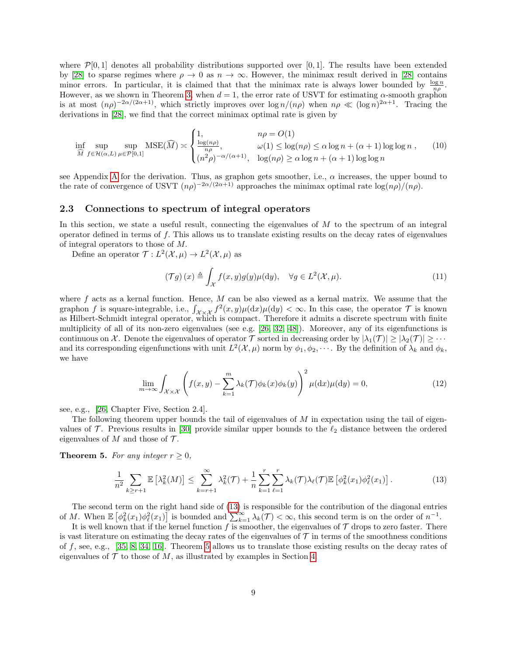where  $\mathcal{P}[0,1]$  denotes all probability distributions supported over [0,1]. The results have been extended by [\[28\]](#page-22-6) to sparse regimes where  $\rho \to 0$  as  $n \to \infty$ . However, the minimax result derived in [28] contains minor errors. In particular, it is claimed that that the minimax rate is always lower bounded by  $\frac{\log n}{n\rho}$ . However, as we shown in Theorem [3,](#page-7-1) when  $d = 1$ , the error rate of USVT for estimating  $\alpha$ -smooth graphon is at most  $(n\rho)^{-2\alpha/(2\alpha+1)}$ , which strictly improves over  $\log n/(n\rho)$  when  $n\rho \ll (\log n)^{2\alpha+1}$ . Tracing the derivations in [\[28\]](#page-22-6), we find that the correct minimax optimal rate is given by

$$
\inf_{\widehat{M}} \sup_{f \in \mathcal{H}(\alpha, L)} \sup_{\mu \in \mathcal{P}[0, 1]} \text{MSE}(\widehat{M}) \asymp \begin{cases} 1, & n\rho = O(1) \\ \frac{\log(n\rho)}{n\rho}, & \omega(1) \le \log(n\rho) \le \alpha \log n + (\alpha + 1) \log \log n \\ (n^2\rho)^{-\alpha/(\alpha + 1)}, & \log(n\rho) \ge \alpha \log n + (\alpha + 1) \log \log n \end{cases} (10)
$$

see [A](#page-23-5)ppendix A for the derivation. Thus, as graphon gets smoother, i.e.,  $\alpha$  increases, the upper bound to the rate of convergence of USVT  $(n\rho)^{-2\alpha/(2\alpha+1)}$  approaches the minimax optimal rate  $\log(n\rho)/(n\rho)$ .

#### 2.3 Connections to spectrum of integral operators

In this section, we state a useful result, connecting the eigenvalues of  $M$  to the spectrum of an integral operator defined in terms of  $f$ . This allows us to translate existing results on the decay rates of eigenvalues of integral operators to those of M.

Define an operator  $\mathcal{T}: L^2(\mathcal{X}, \mu) \to L^2(\mathcal{X}, \mu)$  as

<span id="page-8-4"></span><span id="page-8-3"></span><span id="page-8-2"></span>
$$
(\mathcal{T}g)(x) \triangleq \int_{\mathcal{X}} f(x, y)g(y)\mu(\mathrm{d}y), \quad \forall g \in L^{2}(\mathcal{X}, \mu). \tag{11}
$$

where  $f$  acts as a kernal function. Hence,  $M$  can be also viewed as a kernal matrix. We assume that the graphon f is square-integrable, i.e.,  $\int_{\mathcal{X}\times\mathcal{X}} f^2(x,y)\mu(\mathrm{d}x)\mu(\mathrm{d}y)<\infty$ . In this case, the operator  $\mathcal{T}$  is known as Hilbert-Schmidt integral operator, which is compact. Therefore it admits a discrete spectrum with finite multiplicity of all of its non-zero eigenvalues (see e.g. [\[26,](#page-21-16) [32,](#page-22-15) [48\]](#page-23-6)). Moreover, any of its eigenfunctions is continuous on X. Denote the eigenvalues of operator T sorted in decreasing order by  $|\lambda_1(\mathcal{T})| \geq |\lambda_2(\mathcal{T})| \geq \cdots$ and its corresponding eigenfunctions with unit  $L^2(\mathcal{X}, \mu)$  norm by  $\phi_1, \phi_2, \cdots$ . By the definition of  $\lambda_k$  and  $\phi_k$ , we have

<span id="page-8-0"></span>
$$
\lim_{m \to \infty} \int_{\mathcal{X} \times \mathcal{X}} \left( f(x, y) - \sum_{k=1}^{m} \lambda_k(\mathcal{T}) \phi_k(x) \phi_k(y) \right)^2 \mu(\mathrm{d}x) \mu(\mathrm{d}y) = 0, \tag{12}
$$

see, e.g., [\[26,](#page-21-16) Chapter Five, Section 2.4].

The following theorem upper bounds the tail of eigenvalues of  $M$  in expectation using the tail of eigenvalues of  $\mathcal T$ . Previous results in [\[30\]](#page-22-16) provide similar upper bounds to the  $\ell_2$  distance between the ordered eigenvalues of M and those of  $\mathcal T$ .

<span id="page-8-1"></span>**Theorem 5.** For any integer  $r \geq 0$ ,

$$
\frac{1}{n^2} \sum_{k \ge r+1} \mathbb{E} \left[ \lambda_k^2(M) \right] \le \sum_{k=r+1}^{\infty} \lambda_k^2(\mathcal{T}) + \frac{1}{n} \sum_{k=1}^r \sum_{\ell=1}^r \lambda_k(\mathcal{T}) \lambda_\ell(\mathcal{T}) \mathbb{E} \left[ \phi_k^2(x_1) \phi_\ell^2(x_1) \right]. \tag{13}
$$

The second term on the right hand side of [\(13\)](#page-8-0) is responsible for the contribution of the diagonal entries of M. When  $\mathbb{E} \left[ \phi_k^2(x_1) \phi_\ell^2(x_1) \right]$  is bounded and  $\sum_{k=1}^{\infty} \lambda_k(\mathcal{T}) < \infty$ , this second term is on the order of  $n^{-1}$ .

It is well known that if the kernel function f is smoother, the eigenvalues of  $\mathcal T$  drops to zero faster. There is vast literature on estimating the decay rates of the eigenvalues of  $\mathcal T$  in terms of the smoothness conditions of f, see, e.g., [\[35,](#page-22-17) [8,](#page-20-6) [34,](#page-22-18) [16\]](#page-21-17). Theorem [5](#page-8-1) allows us to translate those existing results on the decay rates of eigenvalues of  $\mathcal T$  to those of M, as illustrated by examples in Section [4.](#page-16-0)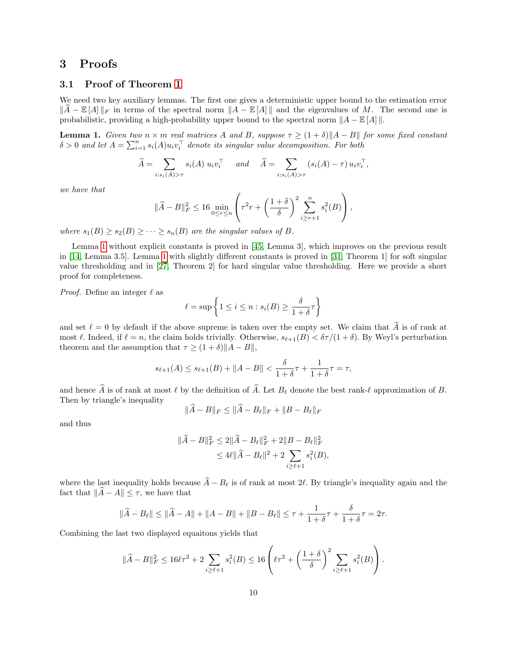### 3 Proofs

### 3.1 Proof of Theorem [1](#page-4-0)

We need two key auxiliary lemmas. The first one gives a deterministic upper bound to the estimation error  $\|\hat{A} - \mathbb{E}[A] \|_F$  in terms of the spectral norm  $\|A - \mathbb{E}[A] \|$  and the eigenvalues of M. The second one is probabilistic, providing a high-probability upper bound to the spectral norm  $||A - \mathbb{E}[A]||$ .

<span id="page-9-0"></span>**Lemma 1.** Given two  $n \times m$  real matrices A and B, suppose  $\tau \geq (1+\delta) \|A-B\|$  for some fixed constant  $\delta > 0$  and let  $A = \sum_{i=1}^n s_i(A) u_i v_i^{\top}$  denote its singular value decomposition. For both

$$
\widehat{A} = \sum_{i:s_i(A)>\tau} s_i(A) u_i v_i^{\top} \quad and \quad \widehat{A} = \sum_{i:s_i(A)>\tau} (s_i(A) - \tau) u_i v_i^{\top},
$$

we have that

$$
\|\widehat{A} - B\|_F^2 \le 16 \min_{0 \le r \le n} \left( \tau^2 r + \left(\frac{1+\delta}{\delta}\right)^2 \sum_{i \ge r+1}^n s_i^2(B) \right),
$$

where  $s_1(B) \geq s_2(B) \geq \cdots \geq s_n(B)$  are the singular values of B.

Lemma [1](#page-9-0) without explicit constants is proved in [\[45,](#page-22-8) Lemma 3], which improves on the previous result in [\[14,](#page-21-11) Lemma 3.5]. Lemma [1](#page-9-0) with slightly different constants is proved in [\[31,](#page-22-11) Theorem 1] for soft singular value thresholding and in [\[27,](#page-21-18) Theorem 2] for hard singular value thresholding. Here we provide a short proof for completeness.

*Proof.* Define an integer  $\ell$  as

$$
\ell = \sup \left\{ 1 \le i \le n : s_i(B) \ge \frac{\delta}{1 + \delta} \tau \right\}
$$

and set  $\ell = 0$  by default if the above supreme is taken over the empty set. We claim that  $\hat{A}$  is of rank at most  $\ell$ . Indeed, if  $\ell = n$ , the claim holds trivially. Otherwise,  $s_{\ell+1}(B) < \delta\tau/(1+\delta)$ . By Weyl's perturbation theorem and the assumption that  $\tau \geq (1+\delta) ||A-B||$ ,

$$
s_{\ell+1}(A) \le s_{\ell+1}(B) + ||A - B|| < \frac{\delta}{1+\delta}\tau + \frac{1}{1+\delta}\tau = \tau,
$$

and hence  $\widehat{A}$  is of rank at most  $\ell$  by the definition of  $\widehat{A}$ . Let  $B_{\ell}$  denote the best rank- $\ell$  approximation of B. Then by triangle's inequality

$$
\|\widehat{A} - B\|_F \le \|\widehat{A} - B_{\ell}\|_F + \|B - B_{\ell}\|_F
$$

and thus

$$
\|\widehat{A} - B\|_F^2 \le 2\|\widehat{A} - B_{\ell}\|_F^2 + 2\|B - B_{\ell}\|_F^2
$$
  

$$
\le 4\ell \|\widehat{A} - B_{\ell}\|^2 + 2\sum_{i \ge \ell+1} s_i^2(B),
$$

where the last inequality holds because  $\hat{A} - B_{\ell}$  is of rank at most 2 $\ell$ . By triangle's inequality again and the fact that  $\|\widehat{A} - A\| \leq \tau$ , we have that

$$
\|\widehat{A} - B_{\ell}\| \le \|\widehat{A} - A\| + \|A - B\| + \|B - B_{\ell}\| \le \tau + \frac{1}{1 + \delta}\tau + \frac{\delta}{1 + \delta}\tau = 2\tau.
$$

Combining the last two displayed equaitons yields that

$$
\|\widehat{A} - B\|_{F}^{2} \le 16\ell\tau^{2} + 2\sum_{i \ge \ell+1} s_{i}^{2}(B) \le 16\left(\ell\tau^{2} + \left(\frac{1+\delta}{\delta}\right)^{2}\sum_{i \ge \ell+1} s_{i}^{2}(B)\right).
$$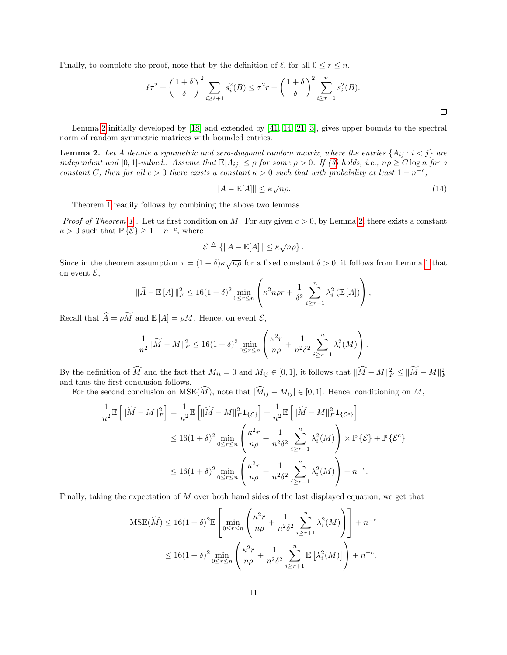Finally, to complete the proof, note that by the definition of  $\ell$ , for all  $0 \le r \le n$ ,

$$
\ell \tau^2 + \left(\frac{1+\delta}{\delta}\right)^2 \sum_{i \ge \ell+1} s_i^2(B) \le \tau^2 r + \left(\frac{1+\delta}{\delta}\right)^2 \sum_{i \ge r+1}^n s_i^2(B).
$$

Lemma [2](#page-10-0) initially developed by [\[18\]](#page-21-12) and extended by [\[41,](#page-22-19) [14,](#page-21-11) [21,](#page-21-13) [3\]](#page-20-7), gives upper bounds to the spectral norm of random symmetric matrices with bounded entries.

<span id="page-10-0"></span>**Lemma 2.** Let A denote a symmetric and zero-diagonal random matrix, where the entries  $\{A_{ij} : i < j\}$  are independent and [0,1]-valued.. Assume that  $\mathbb{E}[A_{ij}] \leq \rho$  for some  $\rho > 0$ . If [\(3\)](#page-3-1) holds, i.e.,  $n\rho \geq C \log n$  for a constant C, then for all  $c > 0$  there exists a constant  $\kappa > 0$  such that with probability at least  $1 - n^{-c}$ ,

$$
||A - \mathbb{E}[A]|| \le \kappa \sqrt{n\rho}.
$$
\n(14)

 $\Box$ 

Theorem [1](#page-4-0) readily follows by combining the above two lemmas.

*Proof of Theorem [1](#page-4-0)*. Let us first condition on M. For any given  $c > 0$ , by Lemma [2,](#page-10-0) there exists a constant  $\kappa > 0$  such that  $\mathbb{P}\{\mathcal{E}\} \geq 1 - n^{-c}$ , where

$$
\mathcal{E} \triangleq \{ ||A - \mathbb{E}[A]|| \leq \kappa \sqrt{n\rho} \}.
$$

Since in the theorem assumption  $\tau = (1+\delta)\kappa\sqrt{n\rho}$  for a fixed constant  $\delta > 0$ , it follows from Lemma [1](#page-9-0) that on event  $\mathcal{E},$ 

$$
\|\widehat{A} - \mathbb{E}[A]\|_F^2 \le 16(1+\delta)^2 \min_{0 \le r \le n} \left( \kappa^2 n \rho r + \frac{1}{\delta^2} \sum_{i \ge r+1}^n \lambda_i^2 \left( \mathbb{E}[A] \right) \right),
$$

Recall that  $\widehat{A} = \rho \widetilde{M}$  and  $\mathbb{E}[A] = \rho M$ . Hence, on event  $\mathcal{E}$ ,

$$
\frac{1}{n^2} \|\widetilde{M} - M\|_F^2 \le 16(1+\delta)^2 \min_{0 \le r \le n} \left( \frac{\kappa^2 r}{n\rho} + \frac{1}{n^2 \delta^2} \sum_{i \ge r+1}^n \lambda_i^2(M) \right).
$$

By the definition of  $\widehat{M}$  and the fact that  $M_{ii} = 0$  and  $M_{ij} \in [0,1]$ , it follows that  $\|\widehat{M} - M\|_F^2 \le \|\widehat{M} - M\|_F^2$ and thus the first conclusion follows.

For the second conclusion on  $MSE(\widehat{M})$ , note that  $|\widehat{M}_{ij} - M_{ij}| \in [0,1]$ . Hence, conditioning on M,

$$
\frac{1}{n^2} \mathbb{E} \left[ \|\widehat{M} - M\|_F^2 \right] = \frac{1}{n^2} \mathbb{E} \left[ \|\widehat{M} - M\|_F^2 \mathbf{1}_{\{\mathcal{E}\}} \right] + \frac{1}{n^2} \mathbb{E} \left[ \|\widehat{M} - M\|_F^2 \mathbf{1}_{\{\mathcal{E}^c\}} \right]
$$
  
\n
$$
\leq 16(1+\delta)^2 \min_{0 \leq r \leq n} \left( \frac{\kappa^2 r}{n \rho} + \frac{1}{n^2 \delta^2} \sum_{i \geq r+1}^n \lambda_i^2(M) \right) \times \mathbb{P} \{\mathcal{E}\} + \mathbb{P} \{\mathcal{E}^c\}
$$
  
\n
$$
\leq 16(1+\delta)^2 \min_{0 \leq r \leq n} \left( \frac{\kappa^2 r}{n \rho} + \frac{1}{n^2 \delta^2} \sum_{i \geq r+1}^n \lambda_i^2(M) \right) + n^{-c}.
$$

Finally, taking the expectation of M over both hand sides of the last displayed equation, we get that

$$
\begin{split} \text{MSE}(\widehat{M}) &\le 16(1+\delta)^2 \mathbb{E} \left[ \min_{0 \le r \le n} \left( \frac{\kappa^2 r}{n \rho} + \frac{1}{n^2 \delta^2} \sum_{i \ge r+1}^n \lambda_i^2(M) \right) \right] + n^{-c} \\ &\le 16(1+\delta)^2 \min_{0 \le r \le n} \left( \frac{\kappa^2 r}{n \rho} + \frac{1}{n^2 \delta^2} \sum_{i \ge r+1}^n \mathbb{E} \left[ \lambda_i^2(M) \right] \right) + n^{-c}, \end{split}
$$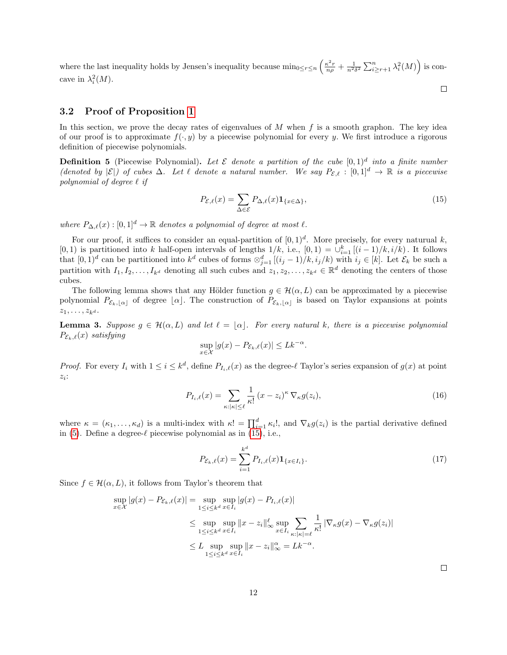where the last inequality holds by Jensen's inequality because  $\min_{0 \le r \le n} \left( \frac{\kappa^2 r}{n \rho} + \frac{1}{n^2 \delta^2} \sum_{i \ge r+1}^n \lambda_i^2(M) \right)$  is concave in  $\lambda_i^2(M)$ .  $\Box$ 

### 3.2 Proof of Proposition [1](#page-6-5)

In this section, we prove the decay rates of eigenvalues of  $M$  when  $f$  is a smooth graphon. The key idea of our proof is to approximate  $f(\cdot, y)$  by a piecewise polynomial for every y. We first introduce a rigorous definition of piecewise polynomials.

**Definition 5** (Piecewise Polynomial). Let  $\mathcal E$  denote a partition of the cube  $[0,1]^d$  into a finite number (denoted by  $|\mathcal{E}|$ ) of cubes  $\Delta$ . Let  $\ell$  denote a natural number. We say  $P_{\mathcal{E},\ell} : [0,1]^d \to \mathbb{R}$  is a piecewise polynomial of degree  $\ell$  if

<span id="page-11-0"></span>
$$
P_{\mathcal{E},\ell}(x) = \sum_{\Delta \in \mathcal{E}} P_{\Delta,\ell}(x) \mathbf{1}_{\{x \in \Delta\}},\tag{15}
$$

where  $P_{\Delta,\ell}(x) : [0, 1]^d \to \mathbb{R}$  denotes a polynomial of degree at most  $\ell$ .

For our proof, it suffices to consider an equal-partition of  $[0,1)^d$ . More precisely, for every naturual k, [0, 1) is partitioned into k half-open intervals of lengths  $1/k$ , i.e.,  $[0,1) = \bigcup_{i=1}^{k} [(i-1)/k, i/k]$ . It follows that  $[0,1)^d$  can be partitioned into  $k^d$  cubes of forms  $\otimes_{j=1}^d [(i_j-1)/k, i_j/k)$  with  $i_j \in [k]$ . Let  $\mathcal{E}_k$  be such a partition with  $I_1, I_2, \ldots, I_{k^d}$  denoting all such cubes and  $z_1, z_2, \ldots, z_{k^d} \in \mathbb{R}^d$  denoting the centers of those cubes.

The following lemma shows that any Hölder function  $g \in \mathcal{H}(\alpha, L)$  can be approximated by a piecewise polynomial  $P_{\mathcal{E}_k,|\alpha|}$  of degree  $[\alpha]$ . The construction of  $P_{\mathcal{E}_k,|\alpha|}$  is based on Taylor expansions at points  $z_1, \ldots, z_{k^d}.$ 

<span id="page-11-1"></span>**Lemma 3.** Suppose  $g \in \mathcal{H}(\alpha, L)$  and let  $\ell = |\alpha|$ . For every natural k, there is a piecewise polynomial  $P_{\mathcal{E}_k,\ell}(x)$  satisfying

$$
\sup_{x \in \mathcal{X}} |g(x) - P_{\mathcal{E}_k, \ell}(x)| \leq L k^{-\alpha}.
$$

*Proof.* For every  $I_i$  with  $1 \leq i \leq k^d$ , define  $P_{I_i,\ell}(x)$  as the degree- $\ell$  Taylor's series expansion of  $g(x)$  at point  $z_i$ :

$$
P_{I_i,\ell}(x) = \sum_{\kappa: |\kappa| \le \ell} \frac{1}{\kappa!} (x - z_i)^{\kappa} \nabla_{\kappa} g(z_i), \tag{16}
$$

where  $\kappa = (\kappa_1, \ldots, \kappa_d)$  is a multi-index with  $\kappa! = \prod_{i=1}^d \kappa_i!$ , and  $\nabla_k g(z_i)$  is the partial derivative defined in [\(5\)](#page-6-7). Define a degree- $\ell$  piecewise polynomial as in [\(15\)](#page-11-0), i.e.,

$$
P_{\mathcal{E}_k,\ell}(x) = \sum_{i=1}^{k^d} P_{I_i,\ell}(x) \mathbf{1}_{\{x \in I_i\}}.
$$
\n(17)

Since  $f \in \mathcal{H}(\alpha, L)$ , it follows from Taylor's theorem that

$$
\sup_{x \in \mathcal{X}} |g(x) - P_{\mathcal{E}_k, \ell}(x)| = \sup_{1 \le i \le k^d} \sup_{x \in I_i} |g(x) - P_{I_i, \ell}(x)|
$$
  
\n
$$
\le \sup_{1 \le i \le k^d} \sup_{x \in I_i} ||x - z_i||_{\infty}^{\ell} \sup_{x \in I_i} \sum_{\kappa: |\kappa| = \ell} \frac{1}{\kappa!} |\nabla_{\kappa} g(x) - \nabla_{\kappa} g(z_i)|
$$
  
\n
$$
\le L \sup_{1 \le i \le k^d} \sup_{x \in I_i} ||x - z_i||_{\infty}^{\alpha} = Lk^{-\alpha}.
$$

<span id="page-11-3"></span><span id="page-11-2"></span> $\Box$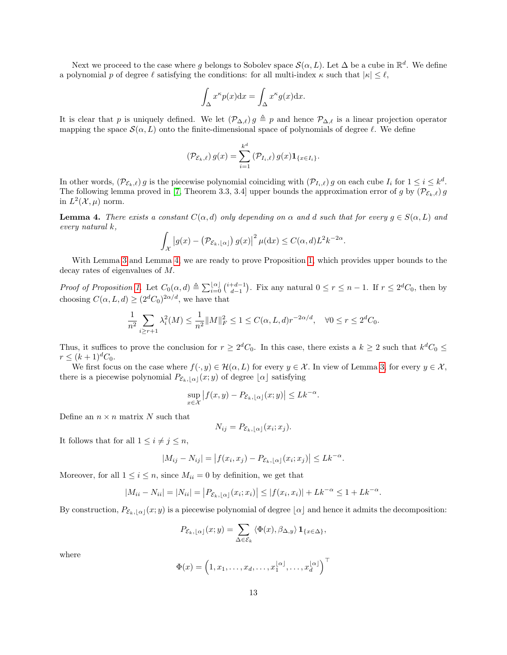Next we proceed to the case where g belongs to Sobolev space  $\mathcal{S}(\alpha, L)$ . Let  $\Delta$  be a cube in  $\mathbb{R}^d$ . We define a polynomial p of degree  $\ell$  satisfying the conditions: for all multi-index  $\kappa$  such that  $|\kappa| \leq \ell$ ,

$$
\int_{\Delta} x^{\kappa} p(x) \mathrm{d} x = \int_{\Delta} x^{\kappa} g(x) \mathrm{d} x.
$$

It is clear that p is uniquely defined. We let  $(\mathcal{P}_{\Delta,\ell}) g \triangleq p$  and hence  $\mathcal{P}_{\Delta,\ell}$  is a linear projection operator mapping the space  $\mathcal{S}(\alpha, L)$  onto the finite-dimensional space of polynomials of degree  $\ell$ . We define

$$
(\mathcal{P}_{\mathcal{E}_k,\ell}) g(x) = \sum_{i=1}^{k^d} (\mathcal{P}_{I_i,\ell}) g(x) \mathbf{1}_{\{x \in I_i\}}.
$$

In other words,  $(\mathcal{P}_{\mathcal{E}_k,\ell}) g$  is the piecewise polynomial coinciding with  $(\mathcal{P}_{I_i,\ell}) g$  on each cube  $I_i$  for  $1 \leq i \leq k^d$ . The following lemma proved in [\[7,](#page-20-5) Theorem 3.3, 3.4] upper bounds the approximation error of g by  $(\mathcal{P}_{\mathcal{E}_k,\ell}) g$ in  $L^2(\mathcal{X}, \mu)$  norm.

<span id="page-12-0"></span>**Lemma 4.** There exists a constant  $C(\alpha, d)$  only depending on  $\alpha$  and d such that for every  $q \in S(\alpha, L)$  and every natural k,

$$
\int_{\mathcal{X}} |g(x) - (\mathcal{P}_{\mathcal{E}_k, \lfloor \alpha \rfloor}) g(x)|^2 \, \mu(\mathrm{d}x) \le C(\alpha, d) L^2 k^{-2\alpha}.
$$

With Lemma [3](#page-11-1) and Lemma [4,](#page-12-0) we are ready to prove Proposition [1,](#page-6-5) which provides upper bounds to the decay rates of eigenvalues of M.

Proof of Proposition [1.](#page-6-5) Let  $C_0(\alpha, d) \triangleq \sum_{i=0}^{\lfloor \alpha \rfloor} {i+d-1 \choose d-1}$ . Fix any natural  $0 \le r \le n-1$ . If  $r \le 2^d C_0$ , then by choosing  $C(\alpha, L, d) \geq (2^d C_0)^{2\alpha/d}$ , we have that

$$
\frac{1}{n^2} \sum_{i \ge r+1} \lambda_i^2(M) \le \frac{1}{n^2} ||M||_F^2 \le 1 \le C(\alpha, L, d)r^{-2\alpha/d}, \quad \forall 0 \le r \le 2^d C_0.
$$

Thus, it suffices to prove the conclusion for  $r \geq 2^d C_0$ . In this case, there exists a  $k \geq 2$  such that  $k^d C_0 \leq$  $r \leq (k+1)^d C_0.$ 

We first focus on the case where  $f(\cdot, y) \in \mathcal{H}(\alpha, L)$  for every  $y \in \mathcal{X}$ . In view of Lemma [3,](#page-11-1) for every  $y \in \mathcal{X}$ , there is a piecewise polynomial  $P_{\mathcal{E}_k,|\alpha|}(x; y)$  of degree  $\lfloor \alpha \rfloor$  satisfying

$$
\sup_{x \in \mathcal{X}} |f(x, y) - P_{\mathcal{E}_k, \lfloor \alpha \rfloor}(x, y)| \leq L k^{-\alpha}.
$$

Define an  $n \times n$  matrix N such that

$$
N_{ij} = P_{\mathcal{E}_k, \lfloor \alpha \rfloor}(x_i; x_j).
$$

It follows that for all  $1 \leq i \neq j \leq n$ ,

$$
|M_{ij} - N_{ij}| = |f(x_i, x_j) - P_{\mathcal{E}_k, \lfloor \alpha \rfloor}(x_i; x_j)| \leq Lk^{-\alpha}.
$$

Moreover, for all  $1 \leq i \leq n$ , since  $M_{ii} = 0$  by definition, we get that

$$
|M_{ii} - N_{ii}| = |N_{ii}| = |P_{\mathcal{E}_k, \alpha}|(x_i; x_i)| \le |f(x_i, x_i)| + Lk^{-\alpha} \le 1 + Lk^{-\alpha}.
$$

By construction,  $P_{\mathcal{E}_k,\lfloor \alpha\rfloor}(x; y)$  is a piecewise polynomial of degree  $\lfloor \alpha\rfloor$  and hence it admits the decomposition:

$$
P_{\mathcal{E}_k, \lfloor \alpha \rfloor}(x; y) = \sum_{\Delta \in \mathcal{E}_k} \langle \Phi(x), \beta_{\Delta, y} \rangle \mathbf{1}_{\{x \in \Delta\}},
$$

where

$$
\Phi(x) = \left(1, x_1, \dots, x_d, \dots, x_1^{\lfloor \alpha \rfloor}, \dots, x_d^{\lfloor \alpha \rfloor}\right)^\top
$$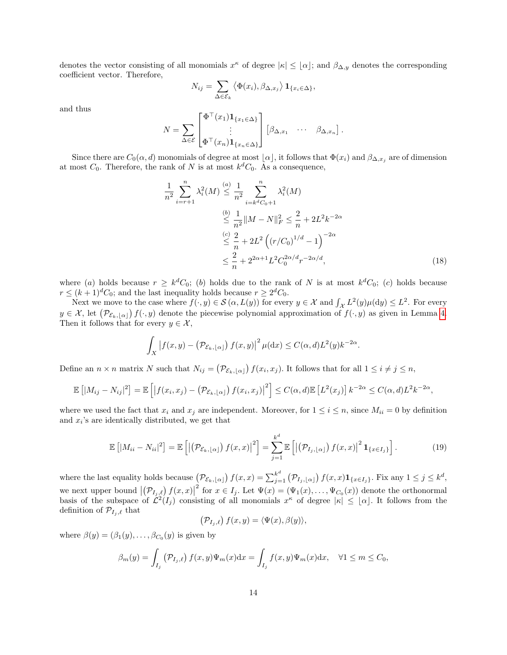denotes the vector consisting of all monomials  $x^{\kappa}$  of degree  $|\kappa| \leq \lfloor \alpha \rfloor$ ; and  $\beta_{\Delta,y}$  denotes the corresponding coefficient vector. Therefore,

$$
N_{ij} = \sum_{\Delta \in \mathcal{E}_k} \langle \Phi(x_i), \beta_{\Delta, x_j} \rangle \mathbf{1}_{\{x_i \in \Delta\}},
$$

and thus

$$
N = \sum_{\Delta \in \mathcal{E}} \begin{bmatrix} \Phi^{\top}(x_1) \mathbf{1}_{\{x_1 \in \Delta\}} \\ \vdots \\ \Phi^{\top}(x_n) \mathbf{1}_{\{x_n \in \Delta\}} \end{bmatrix} \begin{bmatrix} \beta_{\Delta, x_1} & \cdots & \beta_{\Delta, x_n} \end{bmatrix}.
$$

Since there are  $C_0(\alpha, d)$  monomials of degree at most  $\lfloor \alpha \rfloor$ , it follows that  $\Phi(x_i)$  and  $\beta_{\Delta, x_j}$  are of dimension at most  $C_0$ . Therefore, the rank of N is at most  $k<sup>d</sup>C_0$ . As a consequence,

<span id="page-13-1"></span>
$$
\frac{1}{n^2} \sum_{i=r+1}^{n} \lambda_i^2(M) \stackrel{(a)}{\leq} \frac{1}{n^2} \sum_{i=k^d C_0 + 1}^{n} \lambda_i^2(M)
$$
\n
$$
\stackrel{(b)}{\leq} \frac{1}{n^2} \|M - N\|_F^2 \leq \frac{2}{n} + 2L^2 k^{-2\alpha}
$$
\n
$$
\stackrel{(c)}{\leq} \frac{2}{n} + 2L^2 \left( (r/C_0)^{1/d} - 1 \right)^{-2\alpha}
$$
\n
$$
\leq \frac{2}{n} + 2^{2\alpha + 1} L^2 C_0^{2\alpha/d} r^{-2\alpha/d},
$$
\n(18)

where (a) holds because  $r \geq k^d C_0$ ; (b) holds due to the rank of N is at most  $k^d C_0$ ; (c) holds because  $r \leq (k+1)^d C_0$ ; and the last inequality holds because  $r \geq 2^d C_0$ .

Next we move to the case where  $f(\cdot, y) \in \mathcal{S}(\alpha, L(y))$  for every  $y \in \mathcal{X}$  and  $\int_{\mathcal{X}} L^2(y) \mu(\mathrm{d}y) \leq L^2$ . For every  $y \in \mathcal{X}$ , let  $(\mathcal{P}_{\mathcal{E}_k,\lfloor \alpha \rfloor}) f(\cdot,y)$  denote the piecewise polynomial approximation of  $f(\cdot,y)$  as given in Lemma [4.](#page-12-0) Then it follows that for every  $y \in \mathcal{X}$ ,

$$
\int_X |f(x,y) - (\mathcal{P}_{\mathcal{E}_k, \lfloor \alpha \rfloor}) f(x,y)|^2 \,\mu(\mathrm{d}x) \le C(\alpha, d)L^2(y)k^{-2\alpha}.
$$

Define an  $n \times n$  matrix N such that  $N_{ij} = (\mathcal{P}_{\mathcal{E}_k, [\alpha]}) f(x_i, x_j)$ . It follows that for all  $1 \le i \ne j \le n$ ,

$$
\mathbb{E}\left[\left|M_{ij}-N_{ij}\right|^2\right] = \mathbb{E}\left[\left|f(x_i,x_j)-\left(\mathcal{P}_{\mathcal{E}_k,\lfloor\alpha\rfloor}\right)f(x_i,x_j)\right|^2\right] \leq C(\alpha,d)\mathbb{E}\left[L^2(x_j)\right]k^{-2\alpha} \leq C(\alpha,d)L^2k^{-2\alpha},
$$

where we used the fact that  $x_i$  and  $x_j$  are independent. Moreover, for  $1 \leq i \leq n$ , since  $M_{ii} = 0$  by definition and  $x_i$ 's are identically distributed, we get that

$$
\mathbb{E}\left[|M_{ii}-N_{ii}|^2\right] = \mathbb{E}\left[\left|\left(\mathcal{P}_{\mathcal{E}_k,\lfloor\alpha\rfloor}\right)f(x,x)\right|^2\right] = \sum_{j=1}^{k^d} \mathbb{E}\left[\left|\left(\mathcal{P}_{I_j,\lfloor\alpha\rfloor}\right)f(x,x)\right|^2 \mathbf{1}_{\{x \in I_j\}}\right].
$$
 (19)

where the last equality holds because  $(\mathcal{P}_{\mathcal{E}_k,[\alpha]}) f(x,x) = \sum_{j=1}^{k^d} (\mathcal{P}_{I_j,[\alpha]}) f(x,x) \mathbf{1}_{\{x \in I_j\}}$ . Fix any  $1 \leq j \leq k^d$ , we next upper bound  $|(\mathcal{P}_{I_j,\ell}) f(x,x)|$ <sup>2</sup> for  $x \in I_j$ . Let  $\Psi(x) = (\Psi_1(x), \dots, \Psi_{C_0}(x))$  denote the orthonormal basis of the subspace of  $\mathcal{L}^2(I_j)$  consisting of all monomials  $x^{\kappa}$  of degree  $|\kappa| \leq |\alpha|$ . It follows from the definition of  $\mathcal{P}_{I_i,\ell}$  that

<span id="page-13-0"></span>
$$
(\mathcal{P}_{I_j,\ell}) f(x,y) = \langle \Psi(x), \beta(y) \rangle,
$$

where  $\beta(y) = (\beta_1(y), \dots, \beta_{C_0}(y))$  is given by

$$
\beta_m(y) = \int_{I_j} \left( \mathcal{P}_{I_j, \ell} \right) f(x, y) \Psi_m(x) dx = \int_{I_j} f(x, y) \Psi_m(x) dx, \quad \forall 1 \le m \le C_0,
$$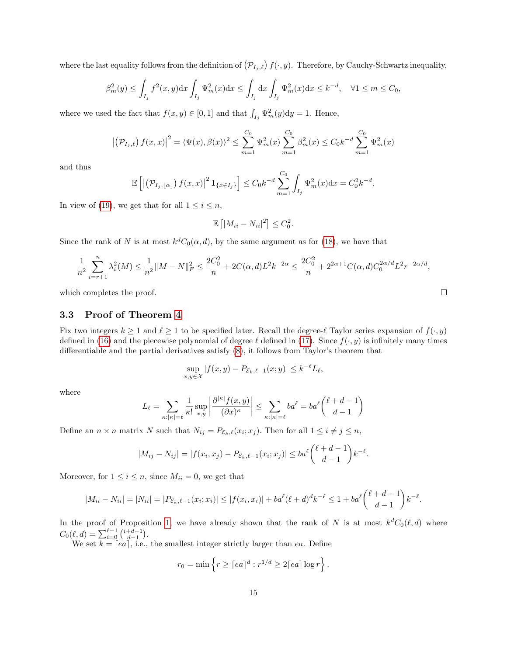where the last equality follows from the definition of  $(\mathcal{P}_{I_j},\ell)$   $f(\cdot,y)$ . Therefore, by Cauchy-Schwartz inequality,

$$
\beta_m^2(y) \le \int_{I_j} f^2(x, y) dx \int_{I_j} \Psi_m^2(x) dx \le \int_{I_j} dx \int_{I_j} \Psi_m^2(x) dx \le k^{-d}, \quad \forall 1 \le m \le C_0,
$$

where we used the fact that  $f(x, y) \in [0, 1]$  and that  $\int_{I_j} \Psi_m^2(y) dy = 1$ . Hence,

$$
\left| \left( \mathcal{P}_{I_j,\ell} \right) f(x,x) \right|^2 = \langle \Psi(x), \beta(x) \rangle^2 \le \sum_{m=1}^{C_0} \Psi_m^2(x) \sum_{m=1}^{C_0} \beta_m^2(x) \le C_0 k^{-d} \sum_{m=1}^{C_0} \Psi_m^2(x)
$$

and thus

$$
\mathbb{E}\left[\left|\left(\mathcal{P}_{I_j,\lfloor\alpha\rfloor}\right)f(x,x)\right|^2\mathbf{1}_{\{x\in I_j\}}\right] \leq C_0 k^{-d} \sum_{m=1}^{C_0} \int_{I_j} \Psi_m^2(x) \mathrm{d}x = C_0^2 k^{-d}.
$$

In view of [\(19\)](#page-13-0), we get that for all  $1 \leq i \leq n$ ,

$$
\mathbb{E}\left[|M_{ii} - N_{ii}|^2\right] \le C_0^2.
$$

Since the rank of N is at most  $k^d C_0(\alpha, d)$ , by the same argument as for [\(18\)](#page-13-1), we have that

$$
\frac{1}{n^2} \sum_{i=r+1}^n \lambda_i^2(M) \le \frac{1}{n^2} \|M - N\|_F^2 \le \frac{2C_0^2}{n} + 2C(\alpha, d)L^2 k^{-2\alpha} \le \frac{2C_0^2}{n} + 2^{2\alpha+1} C(\alpha, d) C_0^{2\alpha/d} L^2 r^{-2\alpha/d},
$$

which completes the proof.

#### 3.3 Proof of Theorem [4](#page-7-4)

Fix two integers  $k \ge 1$  and  $\ell \ge 1$  to be specified later. Recall the degree- $\ell$  Taylor series expansion of  $f(\cdot, y)$ defined in [\(16\)](#page-11-2) and the piecewise polynomial of degree  $\ell$  defined in [\(17\)](#page-11-3). Since  $f(\cdot, y)$  is infinitely many times differentiable and the partial derivatives satisfy [\(8\)](#page-7-2), it follows from Taylor's theorem that

$$
\sup_{x,y\in\mathcal{X}}|f(x,y)-P_{\mathcal{E}_k,\ell-1}(x;y)|\leq k^{-\ell}L_\ell,
$$

where

$$
L_{\ell} = \sum_{\kappa: |\kappa| = \ell} \frac{1}{\kappa!} \sup_{x,y} \left| \frac{\partial^{|\kappa|} f(x,y)}{(\partial x)^{\kappa}} \right| \le \sum_{\kappa: |\kappa| = \ell} ba^{\ell} = ba^{\ell} {\ell + d - 1 \choose d - 1}
$$

Define an  $n \times n$  matrix N such that  $N_{ij} = P_{\mathcal{E}_k,\ell}(x_i; x_j)$ . Then for all  $1 \leq i \neq j \leq n$ ,

$$
|M_{ij} - N_{ij}| = |f(x_i, x_j) - P_{\mathcal{E}_k, \ell-1}(x_i; x_j)| \le ba^{\ell} {\ell + d - 1 \choose d - 1} k^{-\ell}.
$$

Moreover, for  $1 \leq i \leq n$ , since  $M_{ii} = 0$ , we get that

$$
|M_{ii} - N_{ii}| = |N_{ii}| = |P_{\mathcal{E}_k, \ell-1}(x_i; x_i)| \le |f(x_i, x_i)| + ba^{\ell}(\ell+d)^{d}k^{-\ell} \le 1 + ba^{\ell}(\ell+d-1)k^{-\ell}.
$$

In the proof of Proposition [1,](#page-6-5) we have already shown that the rank of N is at most  $k^dC_0(\ell, d)$  where  $C_0(\ell, d) = \sum_{i=0}^{\ell-1} {i+d-1 \choose d-1}.$ 

We set  $k = [ea]$ , i.e., the smallest integer strictly larger than ea. Define

$$
r_0 = \min \left\{ r \geq \lceil ea \rceil^d : r^{1/d} \geq 2 \lceil ea \rceil \log r \right\}.
$$

|      | I |  |
|------|---|--|
|      |   |  |
|      |   |  |
| ____ |   |  |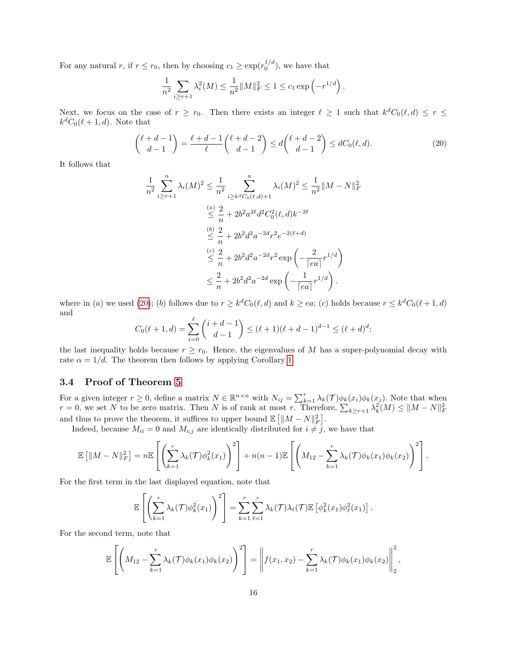For any natural r, if  $r \le r_0$ , then by choosing  $c_1 \ge \exp(r_0^{1/d})$ , we have that

<span id="page-15-0"></span>
$$
\frac{1}{n^2} \sum_{i \ge r+1} \lambda_i^2(M) \le \frac{1}{n^2} ||M||_F^2 \le 1 \le c_1 \exp\left(-r^{1/d}\right).
$$

Next, we focus on the case of  $r \ge r_0$ . Then there exists an integer  $\ell \ge 1$  such that  $k^d C_0(\ell, d) \le r \le$  $k^d C_0(\ell + 1, d)$ . Note that

$$
\binom{\ell+d-1}{d-1} = \frac{\ell+d-1}{\ell} \binom{\ell+d-2}{d-1} \le d \binom{\ell+d-2}{d-1} \le dC_0(\ell,d). \tag{20}
$$

It follows that

$$
\frac{1}{n^2} \sum_{i \ge r+1}^n \lambda_i(M)^2 \le \frac{1}{n^2} \sum_{i \ge k^d C_0(\ell, d)+1}^n \lambda_i(M)^2 \le \frac{1}{n^2} ||M - N||_F^2
$$
  
\n
$$
\le \frac{a}{n} + 2b^2 a^{2\ell} d^2 C_0^2(\ell, d) k^{-2\ell}
$$
  
\n
$$
\le \frac{b}{n} + 2b^2 d^2 a^{-2d} r^2 e^{-2(\ell+d)}
$$
  
\n
$$
\le \frac{c}{n} + 2b^2 d^2 a^{-2d} r^2 \exp\left(-\frac{2}{\lceil ea \rceil} r^{1/d}\right)
$$
  
\n
$$
\le \frac{2}{n} + 2b^2 d^2 a^{-2d} \exp\left(-\frac{1}{\lceil ea \rceil} r^{1/d}\right).
$$

where in (a) we used [\(20\)](#page-15-0); (b) follows due to  $r \geq k^d C_0(\ell, d)$  and  $k \geq ea$ ; (c) holds because  $r \leq k^d C_0(\ell + 1, d)$ and

$$
C_0(\ell+1,d) = \sum_{i=0}^{\ell} {i+d-1 \choose d-1} \le (\ell+1)(\ell+d-1)^{d-1} \le (\ell+d)^d;
$$

the last inequality holds because  $r \ge r_0$ . Hence, the eigenvalues of M has a super-polynomial decay with rate  $\alpha = 1/d$ . The theorem then follows by applying Corollary [1.](#page-5-1)

### 3.4 Proof of Theorem [5](#page-8-1)

For a given integer  $r \geq 0$ , define a matrix  $N \in \mathbb{R}^{n \times n}$  with  $N_{ij} = \sum_{k=1}^{r} \lambda_k(\mathcal{T}) \phi_k(x_i) \phi_k(x_j)$ . Note that when  $r = 0$ , we set N to be zero matrix. Then N is of rank at most r. Therefore,  $\sum_{k \geq r+1} \lambda_k^2(M) \leq ||M - N||_F^2$ and thus to prove the theorem, it suffices to upper bound  $\mathbb{E}\left[\|M-N\|_F^2\right]$ .

Indeed, because  $M_{ii} = 0$  and  $M_{i,j}$  are identically distributed for  $i \neq j$ , we have that

$$
\mathbb{E}\left[\|M-N\|_F^2\right] = n \mathbb{E}\left[\left(\sum_{k=1}^r \lambda_k(\mathcal{T}) \phi_k^2(x_1)\right)^2\right] + n(n-1) \mathbb{E}\left[\left(M_{12} - \sum_{k=1}^r \lambda_k(\mathcal{T}) \phi_k(x_1) \phi_k(x_2)\right)^2\right].
$$

For the first term in the last displayed equation, note that

$$
\mathbb{E}\left[\left(\sum_{k=1}^r \lambda_k(\mathcal{T})\phi_k^2(x_1)\right)^2\right] = \sum_{k=1}^r \sum_{\ell=1}^r \lambda_k(\mathcal{T})\lambda_\ell(\mathcal{T}) \mathbb{E}\left[\phi_k^2(x_1)\phi_\ell^2(x_1)\right].
$$

For the second term, note that

$$
\mathbb{E}\left[\left(M_{12}-\sum_{k=1}^r \lambda_k(\mathcal{T})\phi_k(x_1)\phi_k(x_2)\right)^2\right]=\left\|f(x_1,x_2)-\sum_{k=1}^r \lambda_k(\mathcal{T})\phi_k(x_1)\phi_k(x_2)\right\|_2^2,
$$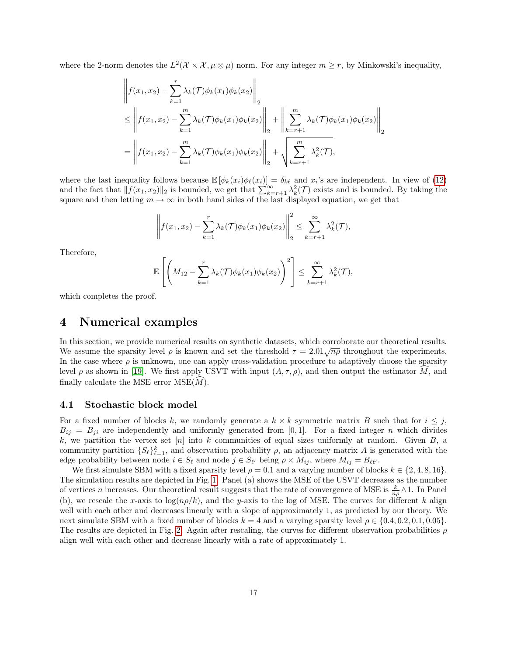where the 2-norm denotes the  $L^2(\mathcal{X} \times \mathcal{X}, \mu \otimes \mu)$  norm. For any integer  $m \geq r$ , by Minkowski's inequality,

$$
\left\| f(x_1, x_2) - \sum_{k=1}^r \lambda_k(\mathcal{T}) \phi_k(x_1) \phi_k(x_2) \right\|_2
$$
  
\n
$$
\leq \left\| f(x_1, x_2) - \sum_{k=1}^m \lambda_k(\mathcal{T}) \phi_k(x_1) \phi_k(x_2) \right\|_2 + \left\| \sum_{k=r+1}^m \lambda_k(\mathcal{T}) \phi_k(x_1) \phi_k(x_2) \right\|_2
$$
  
\n
$$
= \left\| f(x_1, x_2) - \sum_{k=1}^m \lambda_k(\mathcal{T}) \phi_k(x_1) \phi_k(x_2) \right\|_2 + \sqrt{\sum_{k=r+1}^m \lambda_k^2(\mathcal{T})},
$$

where the last inequality follows because  $\mathbb{E} [\phi_k(x_i) \phi_\ell(x_i)] = \delta_{k\ell}$  and  $x_i$ 's are independent. In view of [\(12\)](#page-8-2) and the fact that  $\|\hat{f}(x_1, x_2)\|_2$  is bounded, we get that  $\sum_{k=r+1}^{\infty} \lambda_k^2(\mathcal{T})$  exists and is bounded. By taking the square and then letting  $m \to \infty$  in both hand sides of the last displayed equation, we get that

$$
\left\|f(x_1,x_2)-\sum_{k=1}^r \lambda_k(\mathcal{T})\phi_k(x_1)\phi_k(x_2)\right\|_2^2 \leq \sum_{k=r+1}^\infty \lambda_k^2(\mathcal{T}),
$$

Therefore,

$$
\mathbb{E}\left[\left(M_{12}-\sum_{k=1}^r \lambda_k(\mathcal{T})\phi_k(x_1)\phi_k(x_2)\right)^2\right] \leq \sum_{k=r+1}^\infty \lambda_k^2(\mathcal{T}),
$$

which completes the proof.

### <span id="page-16-0"></span>4 Numerical examples

In this section, we provide numerical results on synthetic datasets, which corroborate our theoretical results. We assume the sparsity level  $\rho$  is known and set the threshold  $\tau = 2.01\sqrt{n\rho}$  throughout the experiments. In the case where  $\rho$  is unknown, one can apply cross-validation procedure to adaptively choose the sparsity level  $\rho$  as shown in [\[19\]](#page-21-0). We first apply USVT with input  $(A, \tau, \rho)$ , and then output the estimator M, and finally calculate the MSE error  $MSE(\tilde{M})$ .

#### 4.1 Stochastic block model

For a fixed number of blocks k, we randomly generate a  $k \times k$  symmetric matrix B such that for  $i \leq j$ ,  $B_{ij} = B_{ji}$  are independently and uniformly generated from [0,1]. For a fixed integer n which divides k, we partition the vertex set  $[n]$  into k communities of equal sizes uniformly at random. Given  $B$ , a community partition  $\{S_{\ell}\}_{\ell=1}^k$ , and observation probability  $\rho$ , an adjacency matrix A is generated with the edge probability between node  $i \in S_\ell$  and node  $j \in S_{\ell'}$  being  $\rho \times M_{ij}$ , where  $M_{ij} = B_{\ell\ell'}$ .

We first simulate SBM with a fixed sparsity level  $\rho = 0.1$  and a varying number of blocks  $k \in \{2, 4, 8, 16\}$ . The simulation results are depicted in Fig. [1.](#page-17-0) Panel (a) shows the MSE of the USVT decreases as the number of vertices *n* increases. Our theoretical result suggests that the rate of convergence of MSE is  $\frac{k}{n\rho} \wedge 1$ . In Panel (b), we rescale the x-axis to  $\log(np/k)$ , and the y-axis to the log of MSE. The curves for different k align well with each other and decreases linearly with a slope of approximately 1, as predicted by our theory. We next simulate SBM with a fixed number of blocks  $k = 4$  and a varying sparsity level  $\rho \in \{0.4, 0.2, 0.1, 0.05\}$ . The results are depicted in Fig. [2.](#page-17-1) Again after rescaling, the curves for different observation probabilities  $\rho$ align well with each other and decrease linearly with a rate of approximately 1.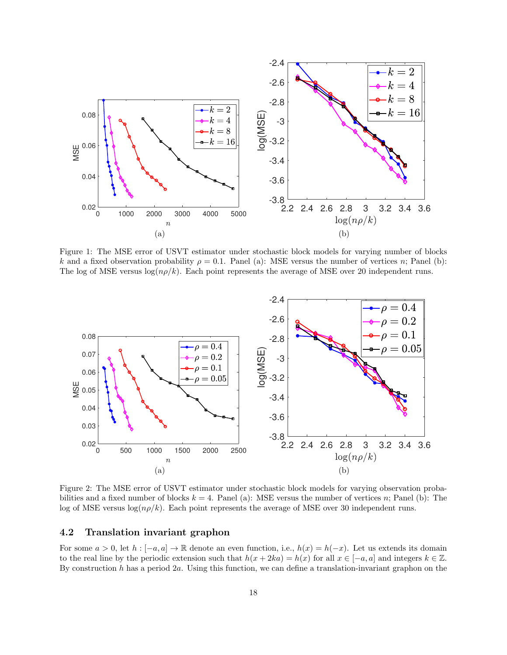<span id="page-17-0"></span>

Figure 1: The MSE error of USVT estimator under stochastic block models for varying number of blocks k and a fixed observation probability  $\rho = 0.1$ . Panel (a): MSE versus the number of vertices n; Panel (b): The log of MSE versus  $log(np/k)$ . Each point represents the average of MSE over 20 independent runs.

<span id="page-17-1"></span>

Figure 2: The MSE error of USVT estimator under stochastic block models for varying observation probabilities and a fixed number of blocks  $k = 4$ . Panel (a): MSE versus the number of vertices n; Panel (b): The log of MSE versus  $\log(n\rho/k)$ . Each point represents the average of MSE over 30 independent runs.

#### 4.2 Translation invariant graphon

For some  $a > 0$ , let  $h : [-a, a] \to \mathbb{R}$  denote an even function, i.e.,  $h(x) = h(-x)$ . Let us extends its domain to the real line by the periodic extension such that  $h(x + 2ka) = h(x)$  for all  $x \in [-a, a]$  and integers  $k \in \mathbb{Z}$ . By construction  $h$  has a period  $2a$ . Using this function, we can define a translation-invariant graphon on the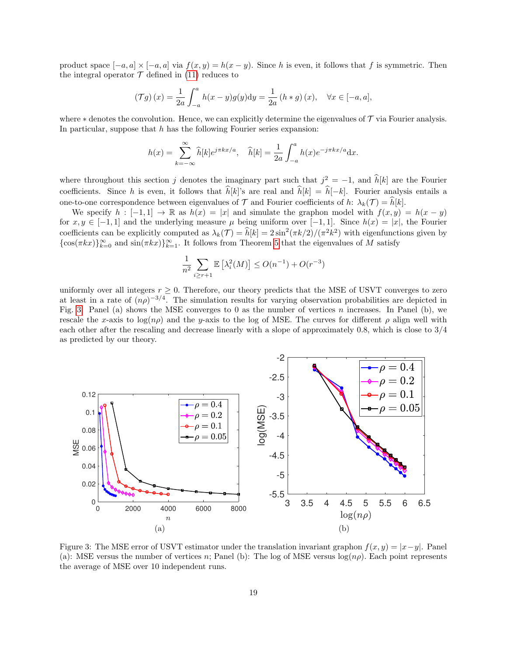product space  $[-a, a] \times [-a, a]$  via  $f(x, y) = h(x - y)$ . Since h is even, it follows that f is symmetric. Then the integral operator  $T$  defined in [\(11\)](#page-8-3) reduces to

$$
\left(\mathcal{T}g\right)(x) = \frac{1}{2a} \int_{-a}^{a} h(x - y)g(y) \mathrm{d}y = \frac{1}{2a} \left(h * g\right)(x), \quad \forall x \in [-a, a],
$$

where  $*$  denotes the convolution. Hence, we can explicitly determine the eigenvalues of  $\mathcal T$  via Fourier analysis. In particular, suppose that  $h$  has the following Fourier series expansion:

$$
h(x) = \sum_{k=-\infty}^{\infty} \widehat{h}[k]e^{j\pi kx/a}, \quad \widehat{h}[k] = \frac{1}{2a} \int_{-a}^{a} h(x)e^{-j\pi kx/a} dx.
$$

where throughout this section j denotes the imaginary part such that  $j^2 = -1$ , and  $\hat{h}[k]$  are the Fourier coefficients. Since h is even, it follows that  $\hat{h}[k]$ 's are real and  $\hat{h}[k] = \hat{h}[-k]$ . Fourier analysis entails a one-to-one correspondence between eigenvalues of  $\mathcal T$  and Fourier coefficients of h:  $\lambda_k(\mathcal T) = \hat h[k]$ .

We specify  $h : [-1,1] \to \mathbb{R}$  as  $h(x) = |x|$  and simulate the graphon model with  $f(x, y) = h(x - y)$ for  $x, y \in [-1, 1]$  and the underlying measure  $\mu$  being uniform over [−1, 1]. Since  $h(x) = |x|$ , the Fourier coefficients can be explicitly computed as  $\lambda_k(\mathcal{T}) = \hat{h}[k] = 2 \sin^2(\pi k/2)/(\pi^2 k^2)$  with eigenfunctions given by  $\{\cos(\pi kx)\}_{k=0}^{\infty}$  and  $\sin(\pi kx)\}_{k=1}^{\infty}$ . It follows from Theorem [5](#page-8-1) that the eigenvalues of M satisfy

<span id="page-18-0"></span>
$$
\frac{1}{n^2} \sum_{i \ge r+1} \mathbb{E}\left[\lambda_i^2(M)\right] \le O(n^{-1}) + O(r^{-3})
$$

uniformly over all integers  $r \geq 0$ . Therefore, our theory predicts that the MSE of USVT converges to zero at least in a rate of  $(n\rho)^{-3/4}$ . The simulation results for varying observation probabilities are depicted in Fig. [3.](#page-18-0) Panel (a) shows the MSE converges to 0 as the number of vertices  $n$  increases. In Panel (b), we rescale the x-axis to log( $n\rho$ ) and the y-axis to the log of MSE. The curves for different  $\rho$  align well with each other after the rescaling and decrease linearly with a slope of approximately 0.8, which is close to 3/4 as predicted by our theory.



Figure 3: The MSE error of USVT estimator under the translation invariant graphon  $f(x, y) = |x-y|$ . Panel (a): MSE versus the number of vertices n; Panel (b): The log of MSE versus  $log(np)$ . Each point represents the average of MSE over 10 independent runs.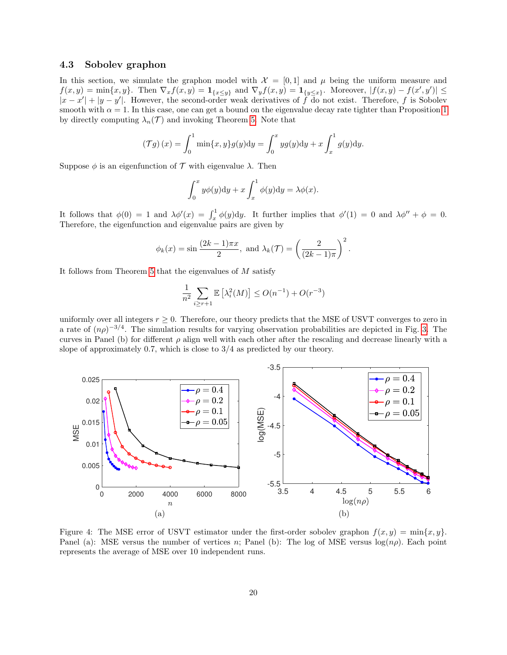#### 4.3 Sobolev graphon

In this section, we simulate the graphon model with  $\mathcal{X} = [0,1]$  and  $\mu$  being the uniform measure and  $f(x,y) = \min\{x,y\}.$  Then  $\nabla_x f(x,y) = \mathbf{1}_{\{x \leq y\}}$  and  $\nabla_y f(x,y) = \mathbf{1}_{\{y \leq x\}}$ . Moreover,  $|f(x,y) - f(x',y')| \leq$  $|x-x'|+|y-y'|$ . However, the second-order weak derivatives of f do not exist. Therefore, f is Sobolev smooth with  $\alpha = 1$  $\alpha = 1$ . In this case, one can get a bound on the eigenvalue decay rate tighter than Proposition 1 by directly computing  $\lambda_n(\mathcal{T})$  and invoking Theorem [5.](#page-8-1) Note that

$$
(\mathcal{T}g)(x) = \int_0^1 \min\{x, y\} g(y) dy = \int_0^x yg(y) dy + x \int_x^1 g(y) dy.
$$

Suppose  $\phi$  is an eigenfunction of  $\mathcal T$  with eigenvalue  $\lambda$ . Then

$$
\int_0^x y\phi(y)dy + x\int_x^1 \phi(y)dy = \lambda\phi(x).
$$

It follows that  $\phi(0) = 1$  and  $\lambda \phi'(x) = \int_x^1 \phi(y) dy$ . It further implies that  $\phi'(1) = 0$  and  $\lambda \phi'' + \phi = 0$ . Therefore, the eigenfunction and eigenvalue pairs are given by

$$
\phi_k(x) = \sin\frac{(2k-1)\pi x}{2}
$$
, and  $\lambda_k(\mathcal{T}) = \left(\frac{2}{(2k-1)\pi}\right)^2$ .

It follows from Theorem [5](#page-8-1) that the eigenvalues of  $M$  satisfy

$$
\frac{1}{n^2} \sum_{i \ge r+1} \mathbb{E}\left[\lambda_i^2(M)\right] \le O(n^{-1}) + O(r^{-3})
$$

uniformly over all integers  $r \geq 0$ . Therefore, our theory predicts that the MSE of USVT converges to zero in a rate of  $(n\rho)^{-3/4}$ . The simulation results for varying observation probabilities are depicted in Fig. [3.](#page-18-0) The curves in Panel (b) for different  $\rho$  align well with each other after the rescaling and decrease linearly with a slope of approximately 0.7, which is close to 3/4 as predicted by our theory.



Figure 4: The MSE error of USVT estimator under the first-order sobolev graphon  $f(x, y) = \min\{x, y\}$ . Panel (a): MSE versus the number of vertices n; Panel (b): The log of MSE versus  $log(np)$ . Each point represents the average of MSE over 10 independent runs.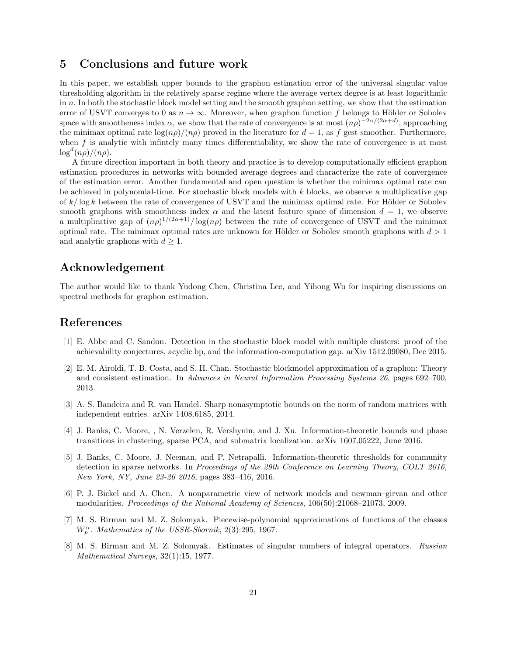### 5 Conclusions and future work

In this paper, we establish upper bounds to the graphon estimation error of the universal singular value thresholding algorithm in the relatively sparse regime where the average vertex degree is at least logarithmic in  $n$ . In both the stochastic block model setting and the smooth graphon setting, we show that the estimation error of USVT converges to 0 as  $n \to \infty$ . Moreover, when graphon function f belongs to Hölder or Sobolev space with smootheness index  $\alpha$ , we show that the rate of convergence is at most  $(n\rho)^{-2\alpha/(2\alpha+d)}$ , approaching the minimax optimal rate  $\log(n\rho)/(n\rho)$  proved in the literature for  $d=1$ , as f gest smoother. Furthermore, when  $f$  is analytic with infintely many times differentiability, we show the rate of convergence is at most  $\log^d(n\rho)/(n\rho)$ .

A future direction important in both theory and practice is to develop computationally efficient graphon estimation procedures in networks with bounded average degrees and characterize the rate of convergence of the estimation error. Another fundamental and open question is whether the minimax optimal rate can be achieved in polynomial-time. For stochastic block models with k blocks, we observe a multiplicative gap of  $k/\log k$  between the rate of convergence of USVT and the minimax optimal rate. For Hölder or Sobolev smooth graphons with smoothness index  $\alpha$  and the latent feature space of dimension  $d = 1$ , we observe a multiplicative gap of  $(n\rho)^{1/(2\alpha+1)}/\log(n\rho)$  between the rate of convergence of USVT and the minimax optimal rate. The minimax optimal rates are unknown for Hölder or Sobolev smooth graphons with  $d > 1$ and analytic graphons with  $d \geq 1$ .

## Acknowledgement

The author would like to thank Yudong Chen, Christina Lee, and Yihong Wu for inspiring discussions on spectral methods for graphon estimation.

## References

- <span id="page-20-3"></span>[1] E. Abbe and C. Sandon. Detection in the stochastic block model with multiple clusters: proof of the achievability conjectures, acyclic bp, and the information-computation gap. arXiv 1512.09080, Dec 2015.
- <span id="page-20-0"></span>[2] E. M. Airoldi, T. B. Costa, and S. H. Chan. Stochastic blockmodel approximation of a graphon: Theory and consistent estimation. In Advances in Neural Information Processing Systems 26, pages 692–700, 2013.
- <span id="page-20-7"></span>[3] A. S. Bandeira and R. van Handel. Sharp nonasymptotic bounds on the norm of random matrices with independent entries. arXiv 1408.6185, 2014.
- <span id="page-20-4"></span>[4] J. Banks, C. Moore, , N. Verzelen, R. Vershynin, and J. Xu. Information-theoretic bounds and phase transitions in clustering, sparse PCA, and submatrix localization. arXiv 1607.05222, June 2016.
- <span id="page-20-2"></span>[5] J. Banks, C. Moore, J. Neeman, and P. Netrapalli. Information-theoretic thresholds for community detection in sparse networks. In Proceedings of the 29th Conference on Learning Theory, COLT 2016, New York, NY, June 23-26 2016, pages 383–416, 2016.
- <span id="page-20-1"></span>[6] P. J. Bickel and A. Chen. A nonparametric view of network models and newman–girvan and other modularities. Proceedings of the National Academy of Sciences, 106(50):21068–21073, 2009.
- <span id="page-20-5"></span>[7] M. S. Birman and M. Z. Solomyak. Piecewise-polynomial approximations of functions of the classes  $W_p^{\alpha}$ . Mathematics of the USSR-Sbornik, 2(3):295, 1967.
- <span id="page-20-6"></span>[8] M. S. Birman and M. Z. Solomyak. Estimates of singular numbers of integral operators. Russian Mathematical Surveys, 32(1):15, 1977.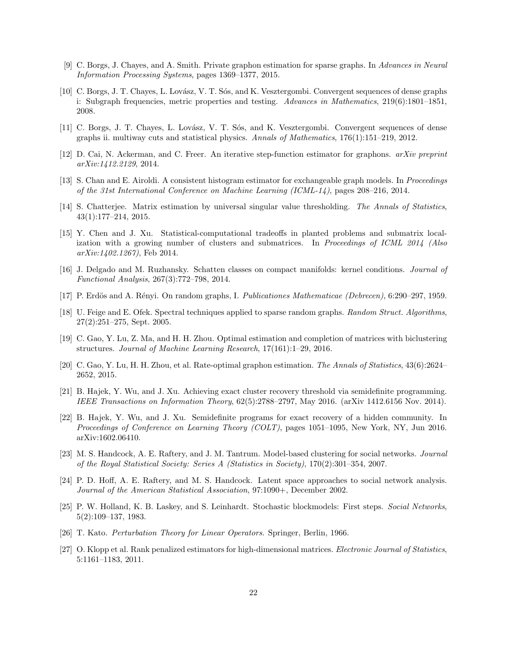- <span id="page-21-10"></span>[9] C. Borgs, J. Chayes, and A. Smith. Private graphon estimation for sparse graphs. In Advances in Neural Information Processing Systems, pages 1369–1377, 2015.
- <span id="page-21-1"></span>[10] C. Borgs, J. T. Chayes, L. Lovász, V. T. Sós, and K. Vesztergombi. Convergent sequences of dense graphs i: Subgraph frequencies, metric properties and testing. Advances in Mathematics, 219(6):1801–1851, 2008.
- <span id="page-21-2"></span>[11] C. Borgs, J. T. Chayes, L. Lovász, V. T. Sós, and K. Vesztergombi. Convergent sequences of dense graphs ii. multiway cuts and statistical physics. Annals of Mathematics,  $176(1):151-219$ ,  $2012$ .
- <span id="page-21-9"></span>[12] D. Cai, N. Ackerman, and C. Freer. An iterative step-function estimator for graphons. arXiv preprint arXiv:1412.2129, 2014.
- <span id="page-21-8"></span>[13] S. Chan and E. Airoldi. A consistent histogram estimator for exchangeable graph models. In Proceedings of the 31st International Conference on Machine Learning (ICML-14), pages 208–216, 2014.
- <span id="page-21-11"></span>[14] S. Chatterjee. Matrix estimation by universal singular value thresholding. The Annals of Statistics, 43(1):177–214, 2015.
- <span id="page-21-15"></span>[15] Y. Chen and J. Xu. Statistical-computational tradeoffs in planted problems and submatrix localization with a growing number of clusters and submatrices. In Proceedings of ICML 2014 (Also arXiv:1402.1267), Feb 2014.
- <span id="page-21-17"></span>[16] J. Delgado and M. Ruzhansky. Schatten classes on compact manifolds: kernel conditions. Journal of Functional Analysis, 267(3):772–798, 2014.
- <span id="page-21-3"></span>[17] P. Erdös and A. Rényi. On random graphs, I. Publicationes Mathematicae (Debrecen), 6:290–297, 1959.
- <span id="page-21-12"></span>[18] U. Feige and E. Ofek. Spectral techniques applied to sparse random graphs. Random Struct. Algorithms, 27(2):251–275, Sept. 2005.
- <span id="page-21-0"></span>[19] C. Gao, Y. Lu, Z. Ma, and H. H. Zhou. Optimal estimation and completion of matrices with biclustering structures. Journal of Machine Learning Research, 17(161):1–29, 2016.
- <span id="page-21-7"></span>[20] C. Gao, Y. Lu, H. H. Zhou, et al. Rate-optimal graphon estimation. The Annals of Statistics, 43(6):2624– 2652, 2015.
- <span id="page-21-13"></span>[21] B. Hajek, Y. Wu, and J. Xu. Achieving exact cluster recovery threshold via semidefinite programming. IEEE Transactions on Information Theory, 62(5):2788–2797, May 2016. (arXiv 1412.6156 Nov. 2014).
- <span id="page-21-14"></span>[22] B. Hajek, Y. Wu, and J. Xu. Semidefinite programs for exact recovery of a hidden community. In Proceedings of Conference on Learning Theory (COLT), pages 1051–1095, New York, NY, Jun 2016. arXiv:1602.06410.
- <span id="page-21-6"></span>[23] M. S. Handcock, A. E. Raftery, and J. M. Tantrum. Model-based clustering for social networks. Journal of the Royal Statistical Society: Series A (Statistics in Society), 170(2):301–354, 2007.
- <span id="page-21-5"></span>[24] P. D. Hoff, A. E. Raftery, and M. S. Handcock. Latent space approaches to social network analysis. Journal of the American Statistical Association, 97:1090+, December 2002.
- <span id="page-21-4"></span>[25] P. W. Holland, K. B. Laskey, and S. Leinhardt. Stochastic blockmodels: First steps. Social Networks, 5(2):109–137, 1983.
- <span id="page-21-16"></span>[26] T. Kato. Perturbation Theory for Linear Operators. Springer, Berlin, 1966.
- <span id="page-21-18"></span>[27] O. Klopp et al. Rank penalized estimators for high-dimensional matrices. Electronic Journal of Statistics, 5:1161–1183, 2011.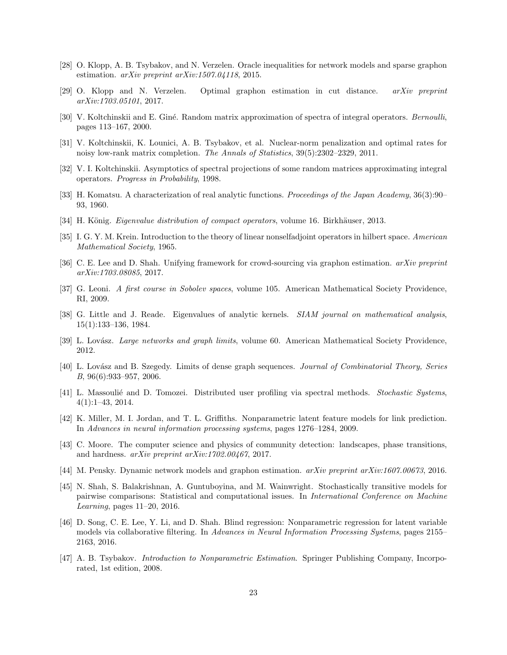- <span id="page-22-6"></span>[28] O. Klopp, A. B. Tsybakov, and N. Verzelen. Oracle inequalities for network models and sparse graphon estimation. arXiv preprint arXiv:1507.04118, 2015.
- <span id="page-22-7"></span>[29] O. Klopp and N. Verzelen. Optimal graphon estimation in cut distance. arXiv preprint arXiv:1703.05101, 2017.
- <span id="page-22-16"></span>[30] V. Koltchinskii and E. Giné. Random matrix approximation of spectra of integral operators. Bernoulli, pages 113–167, 2000.
- <span id="page-22-11"></span>[31] V. Koltchinskii, K. Lounici, A. B. Tsybakov, et al. Nuclear-norm penalization and optimal rates for noisy low-rank matrix completion. The Annals of Statistics, 39(5):2302–2329, 2011.
- <span id="page-22-15"></span>[32] V. I. Koltchinskii. Asymptotics of spectral projections of some random matrices approximating integral operators. Progress in Probability, 1998.
- <span id="page-22-13"></span>[33] H. Komatsu. A characterization of real analytic functions. *Proceedings of the Japan Academy*, 36(3):90– 93, 1960.
- <span id="page-22-18"></span>[34] H. König. *Eigenvalue distribution of compact operators*, volume 16. Birkhäuser, 2013.
- <span id="page-22-17"></span>[35] I. G. Y. M. Krein. Introduction to the theory of linear nonselfadjoint operators in hilbert space. American Mathematical Society, 1965.
- <span id="page-22-3"></span>[36] C. E. Lee and D. Shah. Unifying framework for crowd-sourcing via graphon estimation. arXiv preprint arXiv:1703.08085, 2017.
- <span id="page-22-12"></span>[37] G. Leoni. A first course in Sobolev spaces, volume 105. American Mathematical Society Providence, RI, 2009.
- <span id="page-22-14"></span>[38] G. Little and J. Reade. Eigenvalues of analytic kernels. *SIAM journal on mathematical analysis*, 15(1):133–136, 1984.
- <span id="page-22-5"></span>[39] L. Lovász. Large networks and graph limits, volume 60. American Mathematical Society Providence, 2012.
- <span id="page-22-4"></span>[40] L. Lovász and B. Szegedy. Limits of dense graph sequences. Journal of Combinatorial Theory, Series B, 96(6):933–957, 2006.
- <span id="page-22-19"></span>[41] L. Massoulié and D. Tomozei. Distributed user profiling via spectral methods. Stochastic Systems, 4(1):1–43, 2014.
- <span id="page-22-1"></span>[42] K. Miller, M. I. Jordan, and T. L. Griffiths. Nonparametric latent feature models for link prediction. In Advances in neural information processing systems, pages 1276–1284, 2009.
- <span id="page-22-10"></span>[43] C. Moore. The computer science and physics of community detection: landscapes, phase transitions, and hardness. arXiv preprint arXiv:1702.00467, 2017.
- <span id="page-22-0"></span>[44] M. Pensky. Dynamic network models and graphon estimation. arXiv preprint arXiv:1607.00673, 2016.
- <span id="page-22-8"></span>[45] N. Shah, S. Balakrishnan, A. Guntuboyina, and M. Wainwright. Stochastically transitive models for pairwise comparisons: Statistical and computational issues. In International Conference on Machine Learning, pages 11–20, 2016.
- <span id="page-22-2"></span>[46] D. Song, C. E. Lee, Y. Li, and D. Shah. Blind regression: Nonparametric regression for latent variable models via collaborative filtering. In Advances in Neural Information Processing Systems, pages 2155– 2163, 2016.
- <span id="page-22-9"></span>[47] A. B. Tsybakov. Introduction to Nonparametric Estimation. Springer Publishing Company, Incorporated, 1st edition, 2008.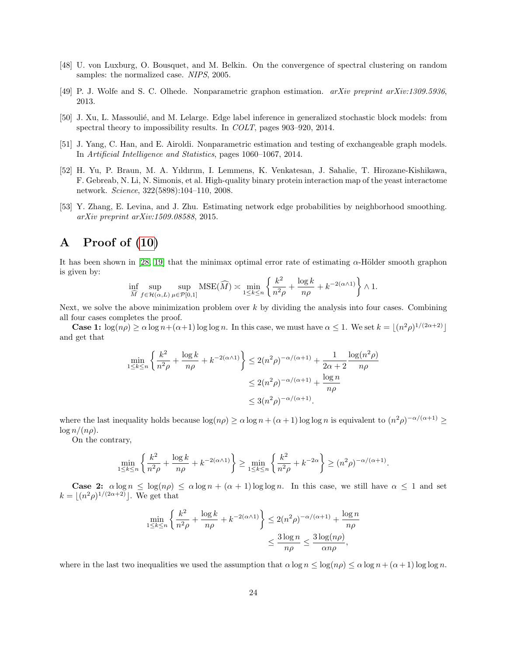- <span id="page-23-6"></span>[48] U. von Luxburg, O. Bousquet, and M. Belkin. On the convergence of spectral clustering on random samples: the normalized case. NIPS, 2005.
- <span id="page-23-1"></span>[49] P. J. Wolfe and S. C. Olhede. Nonparametric graphon estimation. arXiv preprint arXiv:1309.5936, 2013.
- <span id="page-23-4"></span>[50] J. Xu, L. Massoulié, and M. Lelarge. Edge label inference in generalized stochastic block models: from spectral theory to impossibility results. In COLT, pages 903–920, 2014.
- <span id="page-23-2"></span>[51] J. Yang, C. Han, and E. Airoldi. Nonparametric estimation and testing of exchangeable graph models. In Artificial Intelligence and Statistics, pages 1060–1067, 2014.
- <span id="page-23-0"></span>[52] H. Yu, P. Braun, M. A. Yıldırım, I. Lemmens, K. Venkatesan, J. Sahalie, T. Hirozane-Kishikawa, F. Gebreab, N. Li, N. Simonis, et al. High-quality binary protein interaction map of the yeast interactome network. Science, 322(5898):104–110, 2008.
- <span id="page-23-3"></span>[53] Y. Zhang, E. Levina, and J. Zhu. Estimating network edge probabilities by neighborhood smoothing. arXiv preprint arXiv:1509.08588, 2015.

# <span id="page-23-5"></span>A Proof of [\(10\)](#page-8-4)

It has been shown in [\[28,](#page-22-6) [19\]](#page-21-0) that the minimax optimal error rate of estimating  $\alpha$ -Hölder smooth graphon is given by:

$$
\inf_{\widehat{M}} \sup_{f \in \mathcal{H}(\alpha, L)} \sup_{\mu \in \mathcal{P}[0, 1]} \text{MSE}(\widehat{M}) \asymp \min_{1 \le k \le n} \left\{ \frac{k^2}{n^2 \rho} + \frac{\log k}{n \rho} + k^{-2(\alpha \wedge 1)} \right\} \wedge 1.
$$

Next, we solve the above minimization problem over  $k$  by dividing the analysis into four cases. Combining all four cases completes the proof.

**Case 1:**  $\log(n\rho) \ge \alpha \log n + (\alpha + 1) \log \log n$ . In this case, we must have  $\alpha \le 1$ . We set  $k = \lfloor (n^2 \rho)^{1/(2\alpha+2)} \rfloor$ and get that

$$
\min_{1 \le k \le n} \left\{ \frac{k^2}{n^2 \rho} + \frac{\log k}{n \rho} + k^{-2(\alpha \wedge 1)} \right\} \le 2(n^2 \rho)^{-\alpha/(\alpha+1)} + \frac{1}{2\alpha + 2} \frac{\log(n^2 \rho)}{n \rho}
$$

$$
\le 2(n^2 \rho)^{-\alpha/(\alpha+1)} + \frac{\log n}{n \rho}
$$

$$
\le 3(n^2 \rho)^{-\alpha/(\alpha+1)}.
$$

where the last inequality holds because  $\log(n\rho) \ge \alpha \log n + (\alpha + 1) \log \log n$  is equivalent to  $(n^2\rho)^{-\alpha/(\alpha+1)} \ge$  $\log n/(n\rho)$ .

On the contrary,

$$
\min_{1 \le k \le n} \left\{ \frac{k^2}{n^2 \rho} + \frac{\log k}{n \rho} + k^{-2(\alpha \wedge 1)} \right\} \ge \min_{1 \le k \le n} \left\{ \frac{k^2}{n^2 \rho} + k^{-2\alpha} \right\} \ge (n^2 \rho)^{-\alpha/(\alpha+1)}.
$$

**Case 2:**  $\alpha \log n \leq \log(n\rho) \leq \alpha \log n + (\alpha + 1) \log \log n$ . In this case, we still have  $\alpha \leq 1$  and set  $k = (n^2 \rho)^{1/(2\alpha+2)}$ . We get that

$$
\min_{1 \le k \le n} \left\{ \frac{k^2}{n^2 \rho} + \frac{\log k}{n \rho} + k^{-2(\alpha \wedge 1)} \right\} \le 2(n^2 \rho)^{-\alpha/(\alpha+1)} + \frac{\log n}{n \rho}
$$

$$
\le \frac{3 \log n}{n \rho} \le \frac{3 \log(n \rho)}{\alpha n \rho},
$$

where in the last two inequalities we used the assumption that  $\alpha \log n \leq \log(n\rho) \leq \alpha \log n + (\alpha + 1) \log \log n$ .